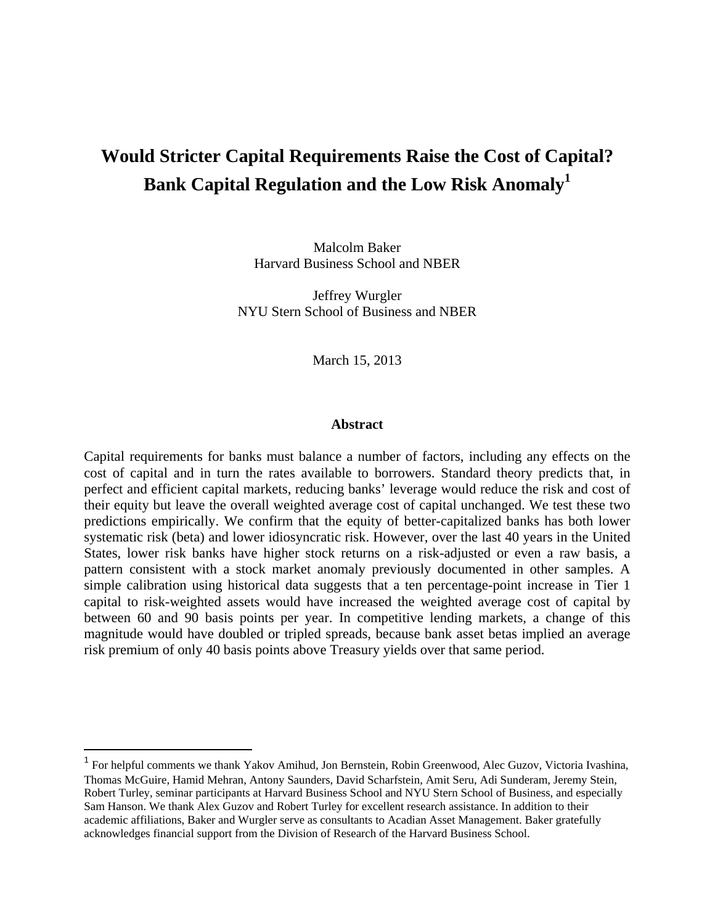# **Would Stricter Capital Requirements Raise the Cost of Capital? Bank Capital Regulation and the Low Risk Anomaly<sup>1</sup>**

Malcolm Baker Harvard Business School and NBER

Jeffrey Wurgler NYU Stern School of Business and NBER

March 15, 2013

### **Abstract**

Capital requirements for banks must balance a number of factors, including any effects on the cost of capital and in turn the rates available to borrowers. Standard theory predicts that, in perfect and efficient capital markets, reducing banks' leverage would reduce the risk and cost of their equity but leave the overall weighted average cost of capital unchanged. We test these two predictions empirically. We confirm that the equity of better-capitalized banks has both lower systematic risk (beta) and lower idiosyncratic risk. However, over the last 40 years in the United States, lower risk banks have higher stock returns on a risk-adjusted or even a raw basis, a pattern consistent with a stock market anomaly previously documented in other samples. A simple calibration using historical data suggests that a ten percentage-point increase in Tier 1 capital to risk-weighted assets would have increased the weighted average cost of capital by between 60 and 90 basis points per year. In competitive lending markets, a change of this magnitude would have doubled or tripled spreads, because bank asset betas implied an average risk premium of only 40 basis points above Treasury yields over that same period.

<sup>&</sup>lt;sup>1</sup> For helpful comments we thank Yakov Amihud, Jon Bernstein, Robin Greenwood, Alec Guzov, Victoria Ivashina, Thomas McGuire, Hamid Mehran, Antony Saunders, David Scharfstein, Amit Seru, Adi Sunderam, Jeremy Stein, Robert Turley, seminar participants at Harvard Business School and NYU Stern School of Business, and especially Sam Hanson. We thank Alex Guzov and Robert Turley for excellent research assistance. In addition to their academic affiliations, Baker and Wurgler serve as consultants to Acadian Asset Management. Baker gratefully acknowledges financial support from the Division of Research of the Harvard Business School.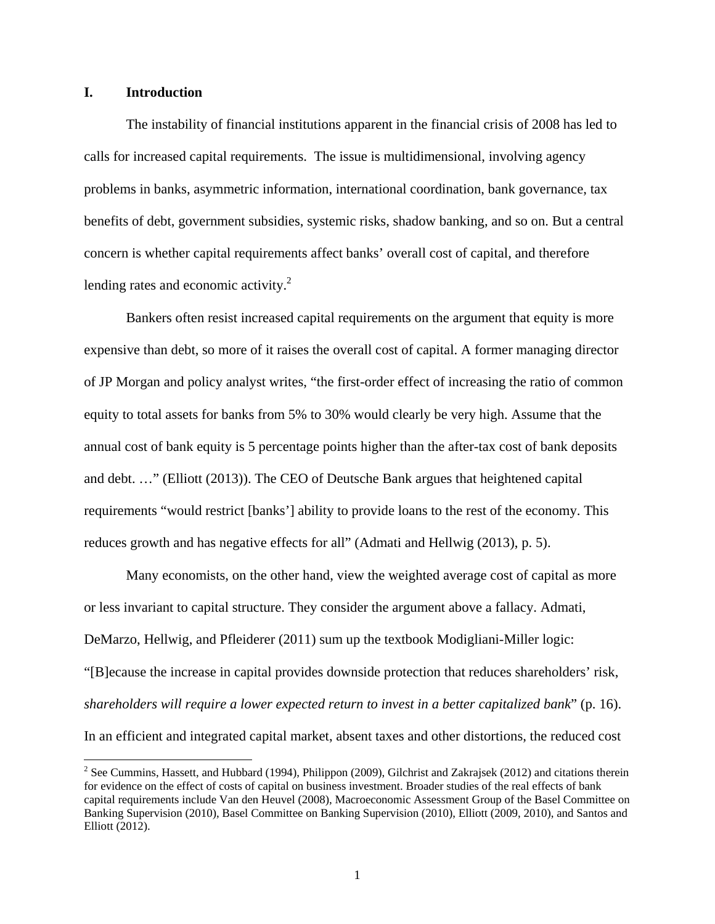# **I. Introduction**

The instability of financial institutions apparent in the financial crisis of 2008 has led to calls for increased capital requirements. The issue is multidimensional, involving agency problems in banks, asymmetric information, international coordination, bank governance, tax benefits of debt, government subsidies, systemic risks, shadow banking, and so on. But a central concern is whether capital requirements affect banks' overall cost of capital, and therefore lending rates and economic activity. $^{2}$ 

Bankers often resist increased capital requirements on the argument that equity is more expensive than debt, so more of it raises the overall cost of capital. A former managing director of JP Morgan and policy analyst writes, "the first-order effect of increasing the ratio of common equity to total assets for banks from 5% to 30% would clearly be very high. Assume that the annual cost of bank equity is 5 percentage points higher than the after-tax cost of bank deposits and debt. …" (Elliott (2013)). The CEO of Deutsche Bank argues that heightened capital requirements "would restrict [banks'] ability to provide loans to the rest of the economy. This reduces growth and has negative effects for all" (Admati and Hellwig (2013), p. 5).

Many economists, on the other hand, view the weighted average cost of capital as more or less invariant to capital structure. They consider the argument above a fallacy. Admati, DeMarzo, Hellwig, and Pfleiderer (2011) sum up the textbook Modigliani-Miller logic: "[B]ecause the increase in capital provides downside protection that reduces shareholders' risk, *shareholders will require a lower expected return to invest in a better capitalized bank*" (p. 16). In an efficient and integrated capital market, absent taxes and other distortions, the reduced cost

<sup>&</sup>lt;sup>2</sup> See Cummins, Hassett, and Hubbard (1994), Philippon (2009), Gilchrist and Zakrajsek (2012) and citations therein for evidence on the effect of costs of capital on business investment. Broader studies of the real effects of bank capital requirements include Van den Heuvel (2008), Macroeconomic Assessment Group of the Basel Committee on Banking Supervision (2010), Basel Committee on Banking Supervision (2010), Elliott (2009, 2010), and Santos and Elliott (2012).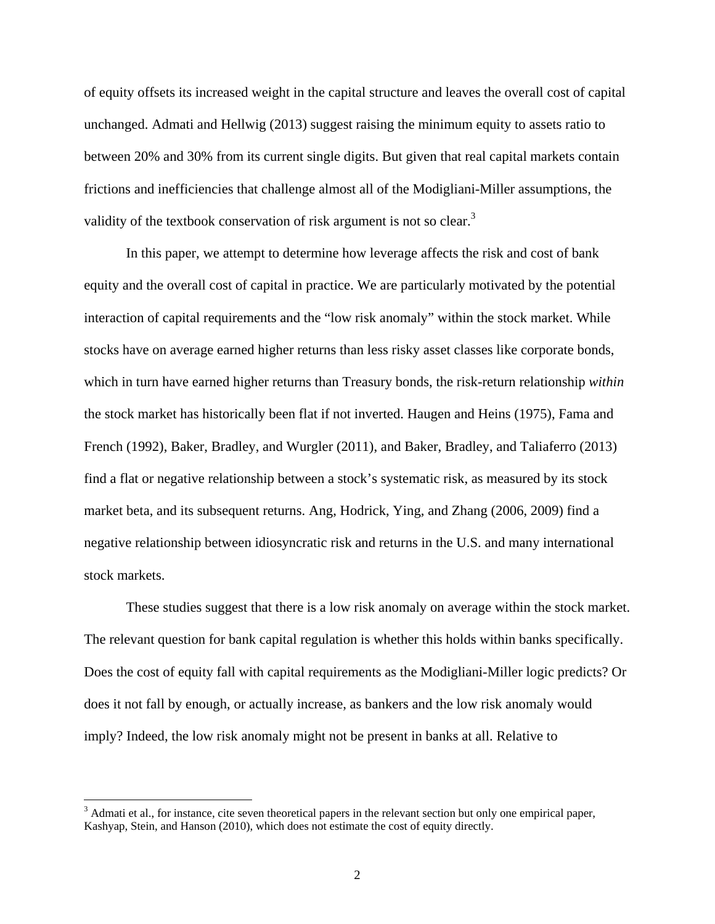of equity offsets its increased weight in the capital structure and leaves the overall cost of capital unchanged. Admati and Hellwig (2013) suggest raising the minimum equity to assets ratio to between 20% and 30% from its current single digits. But given that real capital markets contain frictions and inefficiencies that challenge almost all of the Modigliani-Miller assumptions, the validity of the textbook conservation of risk argument is not so clear.<sup>3</sup>

In this paper, we attempt to determine how leverage affects the risk and cost of bank equity and the overall cost of capital in practice. We are particularly motivated by the potential interaction of capital requirements and the "low risk anomaly" within the stock market. While stocks have on average earned higher returns than less risky asset classes like corporate bonds, which in turn have earned higher returns than Treasury bonds, the risk-return relationship *within* the stock market has historically been flat if not inverted. Haugen and Heins (1975), Fama and French (1992), Baker, Bradley, and Wurgler (2011), and Baker, Bradley, and Taliaferro (2013) find a flat or negative relationship between a stock's systematic risk, as measured by its stock market beta, and its subsequent returns. Ang, Hodrick, Ying, and Zhang (2006, 2009) find a negative relationship between idiosyncratic risk and returns in the U.S. and many international stock markets.

These studies suggest that there is a low risk anomaly on average within the stock market. The relevant question for bank capital regulation is whether this holds within banks specifically. Does the cost of equity fall with capital requirements as the Modigliani-Miller logic predicts? Or does it not fall by enough, or actually increase, as bankers and the low risk anomaly would imply? Indeed, the low risk anomaly might not be present in banks at all. Relative to

 $3$  Admati et al., for instance, cite seven theoretical papers in the relevant section but only one empirical paper, Kashyap, Stein, and Hanson (2010), which does not estimate the cost of equity directly.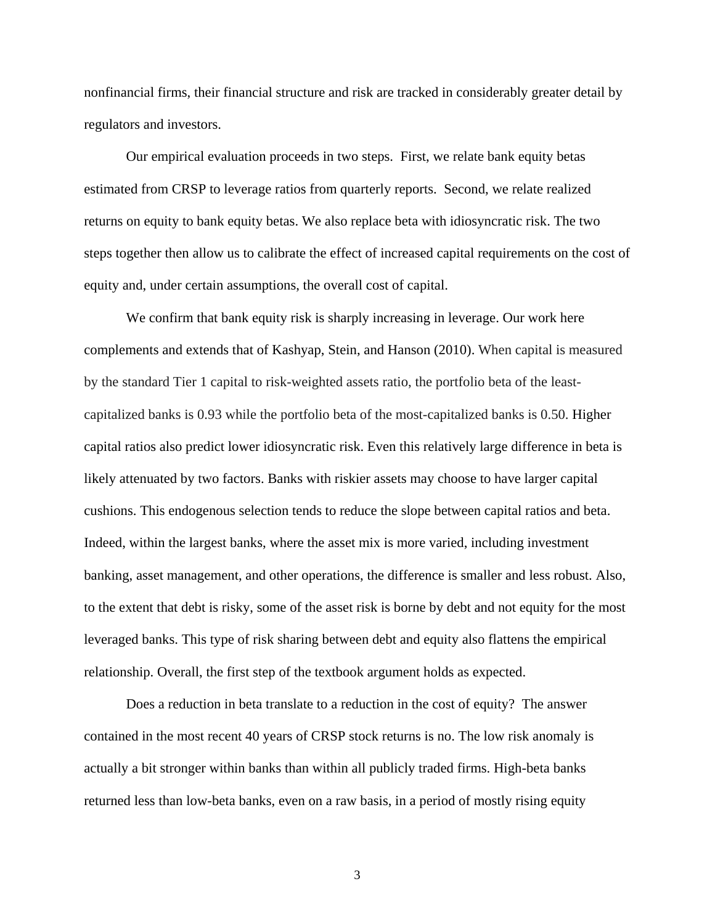nonfinancial firms, their financial structure and risk are tracked in considerably greater detail by regulators and investors.

Our empirical evaluation proceeds in two steps. First, we relate bank equity betas estimated from CRSP to leverage ratios from quarterly reports. Second, we relate realized returns on equity to bank equity betas. We also replace beta with idiosyncratic risk. The two steps together then allow us to calibrate the effect of increased capital requirements on the cost of equity and, under certain assumptions, the overall cost of capital.

We confirm that bank equity risk is sharply increasing in leverage. Our work here complements and extends that of Kashyap, Stein, and Hanson (2010). When capital is measured by the standard Tier 1 capital to risk-weighted assets ratio, the portfolio beta of the leastcapitalized banks is 0.93 while the portfolio beta of the most-capitalized banks is 0.50. Higher capital ratios also predict lower idiosyncratic risk. Even this relatively large difference in beta is likely attenuated by two factors. Banks with riskier assets may choose to have larger capital cushions. This endogenous selection tends to reduce the slope between capital ratios and beta. Indeed, within the largest banks, where the asset mix is more varied, including investment banking, asset management, and other operations, the difference is smaller and less robust. Also, to the extent that debt is risky, some of the asset risk is borne by debt and not equity for the most leveraged banks. This type of risk sharing between debt and equity also flattens the empirical relationship. Overall, the first step of the textbook argument holds as expected.

Does a reduction in beta translate to a reduction in the cost of equity? The answer contained in the most recent 40 years of CRSP stock returns is no. The low risk anomaly is actually a bit stronger within banks than within all publicly traded firms. High-beta banks returned less than low-beta banks, even on a raw basis, in a period of mostly rising equity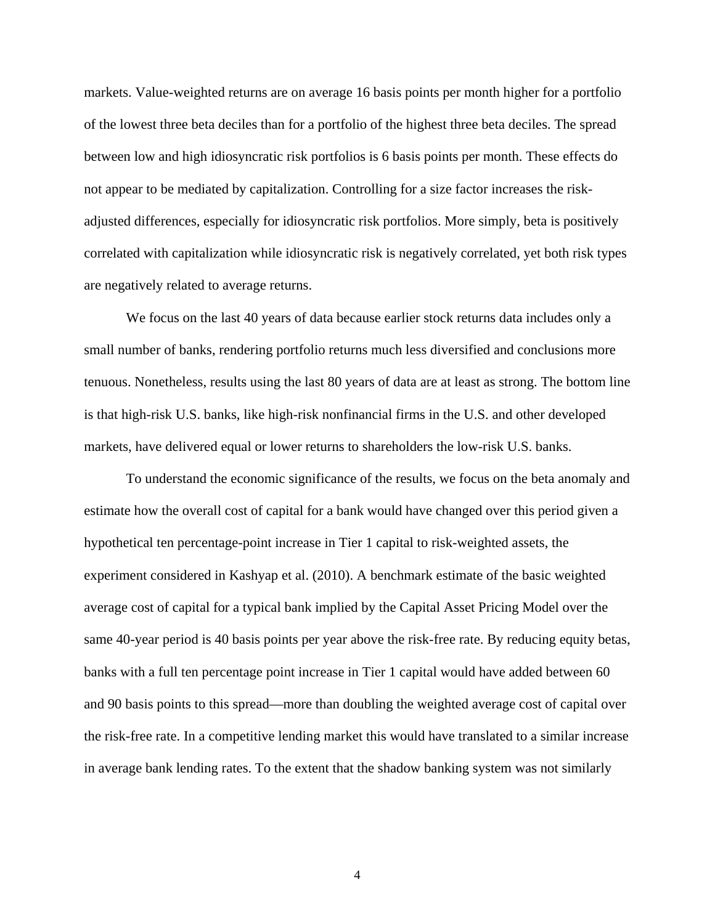markets. Value-weighted returns are on average 16 basis points per month higher for a portfolio of the lowest three beta deciles than for a portfolio of the highest three beta deciles. The spread between low and high idiosyncratic risk portfolios is 6 basis points per month. These effects do not appear to be mediated by capitalization. Controlling for a size factor increases the riskadjusted differences, especially for idiosyncratic risk portfolios. More simply, beta is positively correlated with capitalization while idiosyncratic risk is negatively correlated, yet both risk types are negatively related to average returns.

We focus on the last 40 years of data because earlier stock returns data includes only a small number of banks, rendering portfolio returns much less diversified and conclusions more tenuous. Nonetheless, results using the last 80 years of data are at least as strong. The bottom line is that high-risk U.S. banks, like high-risk nonfinancial firms in the U.S. and other developed markets, have delivered equal or lower returns to shareholders the low-risk U.S. banks.

To understand the economic significance of the results, we focus on the beta anomaly and estimate how the overall cost of capital for a bank would have changed over this period given a hypothetical ten percentage-point increase in Tier 1 capital to risk-weighted assets, the experiment considered in Kashyap et al. (2010). A benchmark estimate of the basic weighted average cost of capital for a typical bank implied by the Capital Asset Pricing Model over the same 40-year period is 40 basis points per year above the risk-free rate. By reducing equity betas, banks with a full ten percentage point increase in Tier 1 capital would have added between 60 and 90 basis points to this spread—more than doubling the weighted average cost of capital over the risk-free rate. In a competitive lending market this would have translated to a similar increase in average bank lending rates. To the extent that the shadow banking system was not similarly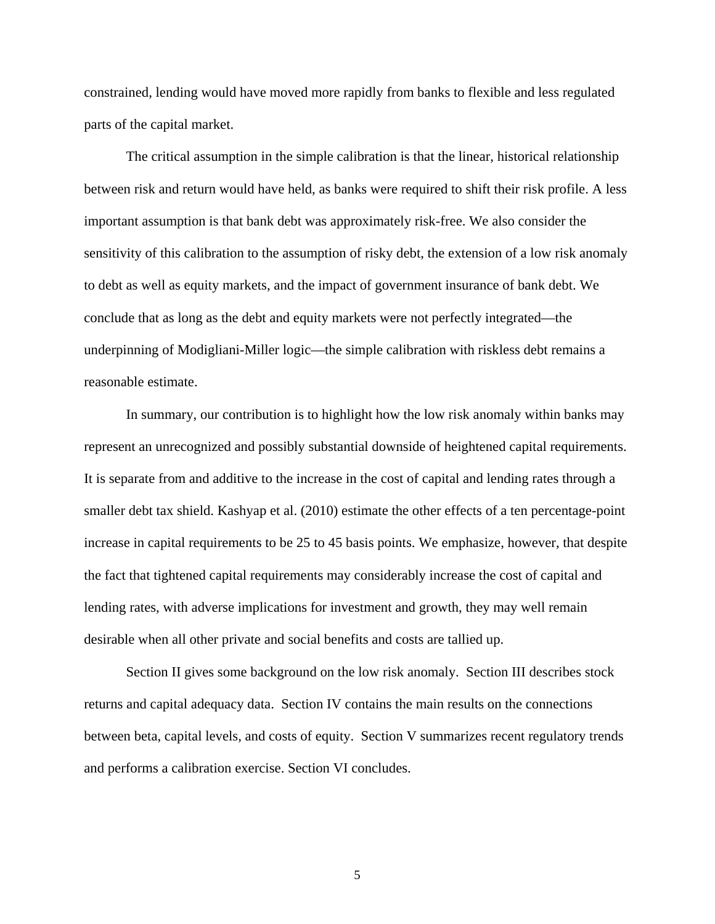constrained, lending would have moved more rapidly from banks to flexible and less regulated parts of the capital market.

The critical assumption in the simple calibration is that the linear, historical relationship between risk and return would have held, as banks were required to shift their risk profile. A less important assumption is that bank debt was approximately risk-free. We also consider the sensitivity of this calibration to the assumption of risky debt, the extension of a low risk anomaly to debt as well as equity markets, and the impact of government insurance of bank debt. We conclude that as long as the debt and equity markets were not perfectly integrated—the underpinning of Modigliani-Miller logic—the simple calibration with riskless debt remains a reasonable estimate.

In summary, our contribution is to highlight how the low risk anomaly within banks may represent an unrecognized and possibly substantial downside of heightened capital requirements. It is separate from and additive to the increase in the cost of capital and lending rates through a smaller debt tax shield. Kashyap et al. (2010) estimate the other effects of a ten percentage-point increase in capital requirements to be 25 to 45 basis points. We emphasize, however, that despite the fact that tightened capital requirements may considerably increase the cost of capital and lending rates, with adverse implications for investment and growth, they may well remain desirable when all other private and social benefits and costs are tallied up.

Section II gives some background on the low risk anomaly. Section III describes stock returns and capital adequacy data. Section IV contains the main results on the connections between beta, capital levels, and costs of equity. Section V summarizes recent regulatory trends and performs a calibration exercise. Section VI concludes.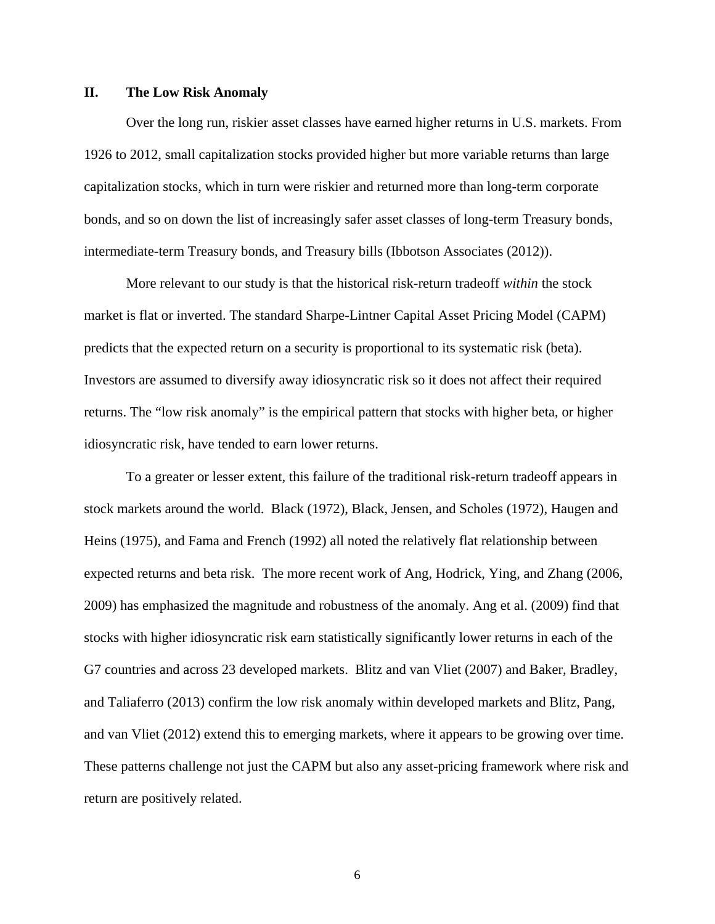## **II. The Low Risk Anomaly**

Over the long run, riskier asset classes have earned higher returns in U.S. markets. From 1926 to 2012, small capitalization stocks provided higher but more variable returns than large capitalization stocks, which in turn were riskier and returned more than long-term corporate bonds, and so on down the list of increasingly safer asset classes of long-term Treasury bonds, intermediate-term Treasury bonds, and Treasury bills (Ibbotson Associates (2012)).

More relevant to our study is that the historical risk-return tradeoff *within* the stock market is flat or inverted. The standard Sharpe-Lintner Capital Asset Pricing Model (CAPM) predicts that the expected return on a security is proportional to its systematic risk (beta). Investors are assumed to diversify away idiosyncratic risk so it does not affect their required returns. The "low risk anomaly" is the empirical pattern that stocks with higher beta, or higher idiosyncratic risk, have tended to earn lower returns.

To a greater or lesser extent, this failure of the traditional risk-return tradeoff appears in stock markets around the world. Black (1972), Black, Jensen, and Scholes (1972), Haugen and Heins (1975), and Fama and French (1992) all noted the relatively flat relationship between expected returns and beta risk. The more recent work of Ang, Hodrick, Ying, and Zhang (2006, 2009) has emphasized the magnitude and robustness of the anomaly. Ang et al. (2009) find that stocks with higher idiosyncratic risk earn statistically significantly lower returns in each of the G7 countries and across 23 developed markets. Blitz and van Vliet (2007) and Baker, Bradley, and Taliaferro (2013) confirm the low risk anomaly within developed markets and Blitz, Pang, and van Vliet (2012) extend this to emerging markets, where it appears to be growing over time. These patterns challenge not just the CAPM but also any asset-pricing framework where risk and return are positively related.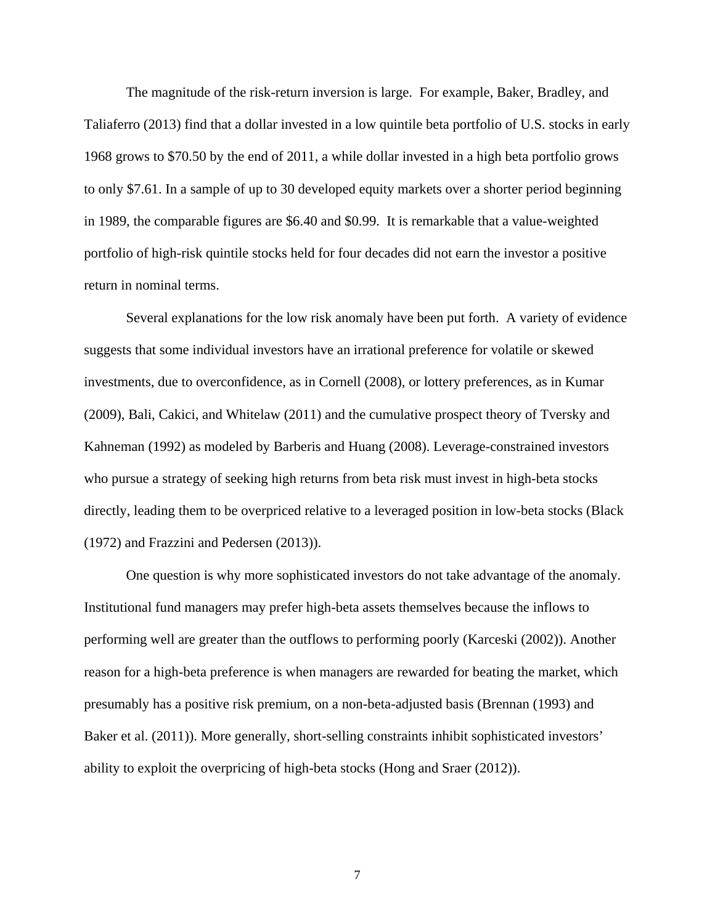The magnitude of the risk-return inversion is large. For example, Baker, Bradley, and Taliaferro (2013) find that a dollar invested in a low quintile beta portfolio of U.S. stocks in early 1968 grows to \$70.50 by the end of 2011, a while dollar invested in a high beta portfolio grows to only \$7.61. In a sample of up to 30 developed equity markets over a shorter period beginning in 1989, the comparable figures are \$6.40 and \$0.99. It is remarkable that a value-weighted portfolio of high-risk quintile stocks held for four decades did not earn the investor a positive return in nominal terms.

Several explanations for the low risk anomaly have been put forth. A variety of evidence suggests that some individual investors have an irrational preference for volatile or skewed investments, due to overconfidence, as in Cornell (2008), or lottery preferences, as in Kumar (2009), Bali, Cakici, and Whitelaw (2011) and the cumulative prospect theory of Tversky and Kahneman (1992) as modeled by Barberis and Huang (2008). Leverage-constrained investors who pursue a strategy of seeking high returns from beta risk must invest in high-beta stocks directly, leading them to be overpriced relative to a leveraged position in low-beta stocks (Black (1972) and Frazzini and Pedersen (2013)).

One question is why more sophisticated investors do not take advantage of the anomaly. Institutional fund managers may prefer high-beta assets themselves because the inflows to performing well are greater than the outflows to performing poorly (Karceski (2002)). Another reason for a high-beta preference is when managers are rewarded for beating the market, which presumably has a positive risk premium, on a non-beta-adjusted basis (Brennan (1993) and Baker et al. (2011)). More generally, short-selling constraints inhibit sophisticated investors' ability to exploit the overpricing of high-beta stocks (Hong and Sraer (2012)).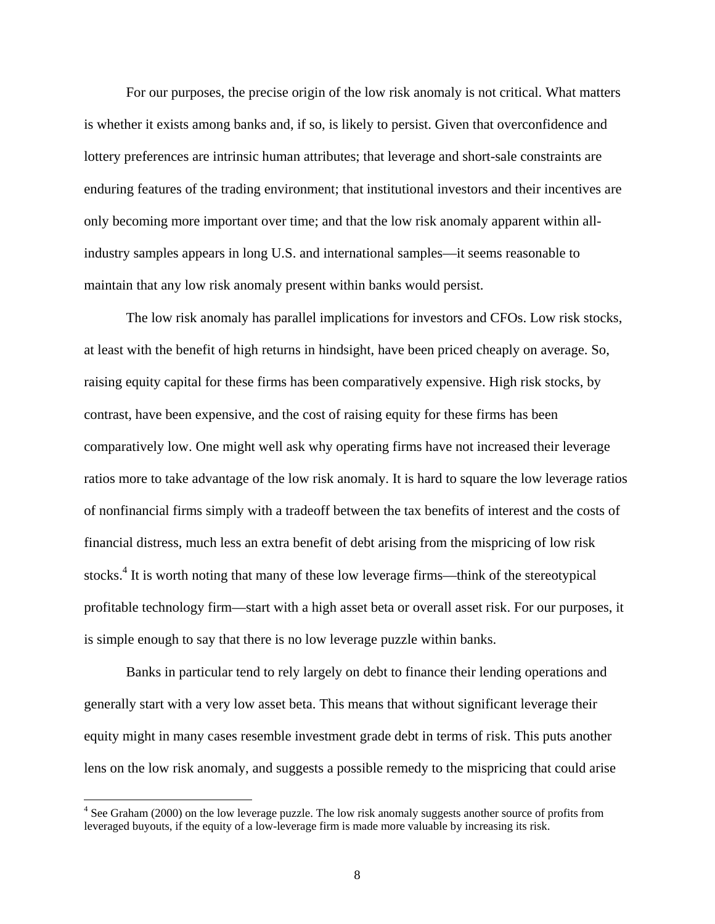For our purposes, the precise origin of the low risk anomaly is not critical. What matters is whether it exists among banks and, if so, is likely to persist. Given that overconfidence and lottery preferences are intrinsic human attributes; that leverage and short-sale constraints are enduring features of the trading environment; that institutional investors and their incentives are only becoming more important over time; and that the low risk anomaly apparent within allindustry samples appears in long U.S. and international samples—it seems reasonable to maintain that any low risk anomaly present within banks would persist.

The low risk anomaly has parallel implications for investors and CFOs. Low risk stocks, at least with the benefit of high returns in hindsight, have been priced cheaply on average. So, raising equity capital for these firms has been comparatively expensive. High risk stocks, by contrast, have been expensive, and the cost of raising equity for these firms has been comparatively low. One might well ask why operating firms have not increased their leverage ratios more to take advantage of the low risk anomaly. It is hard to square the low leverage ratios of nonfinancial firms simply with a tradeoff between the tax benefits of interest and the costs of financial distress, much less an extra benefit of debt arising from the mispricing of low risk stocks.<sup>4</sup> It is worth noting that many of these low leverage firms—think of the stereotypical profitable technology firm—start with a high asset beta or overall asset risk. For our purposes, it is simple enough to say that there is no low leverage puzzle within banks.

Banks in particular tend to rely largely on debt to finance their lending operations and generally start with a very low asset beta. This means that without significant leverage their equity might in many cases resemble investment grade debt in terms of risk. This puts another lens on the low risk anomaly, and suggests a possible remedy to the mispricing that could arise

<sup>&</sup>lt;sup>4</sup> See Graham (2000) on the low leverage puzzle. The low risk anomaly suggests another source of profits from leveraged buyouts, if the equity of a low-leverage firm is made more valuable by increasing its risk.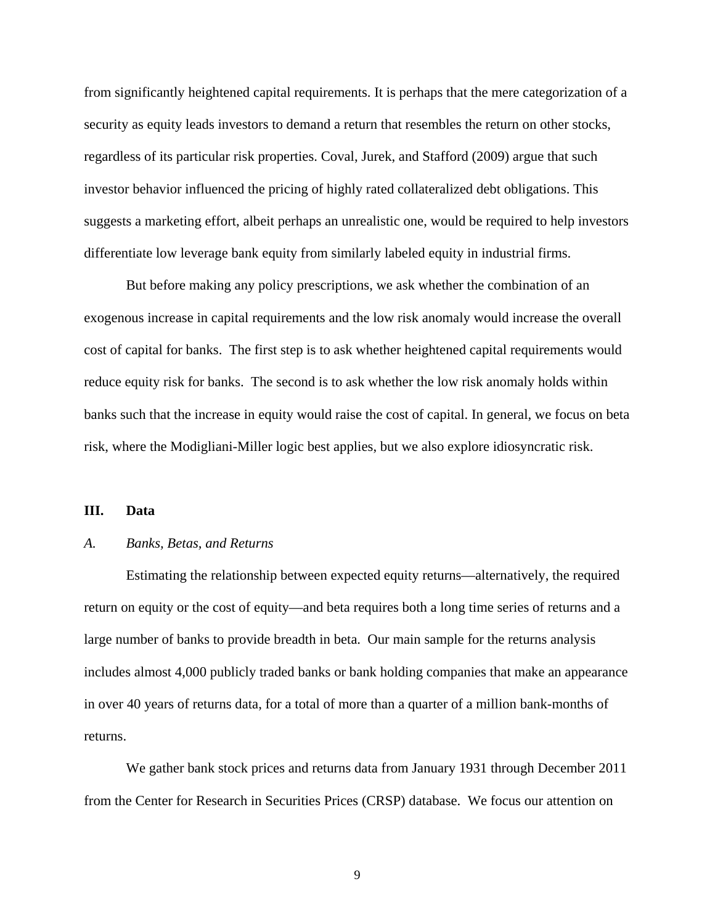from significantly heightened capital requirements. It is perhaps that the mere categorization of a security as equity leads investors to demand a return that resembles the return on other stocks, regardless of its particular risk properties. Coval, Jurek, and Stafford (2009) argue that such investor behavior influenced the pricing of highly rated collateralized debt obligations. This suggests a marketing effort, albeit perhaps an unrealistic one, would be required to help investors differentiate low leverage bank equity from similarly labeled equity in industrial firms.

But before making any policy prescriptions, we ask whether the combination of an exogenous increase in capital requirements and the low risk anomaly would increase the overall cost of capital for banks. The first step is to ask whether heightened capital requirements would reduce equity risk for banks. The second is to ask whether the low risk anomaly holds within banks such that the increase in equity would raise the cost of capital. In general, we focus on beta risk, where the Modigliani-Miller logic best applies, but we also explore idiosyncratic risk.

#### **III. Data**

# *A. Banks, Betas, and Returns*

Estimating the relationship between expected equity returns—alternatively, the required return on equity or the cost of equity—and beta requires both a long time series of returns and a large number of banks to provide breadth in beta. Our main sample for the returns analysis includes almost 4,000 publicly traded banks or bank holding companies that make an appearance in over 40 years of returns data, for a total of more than a quarter of a million bank-months of returns.

We gather bank stock prices and returns data from January 1931 through December 2011 from the Center for Research in Securities Prices (CRSP) database. We focus our attention on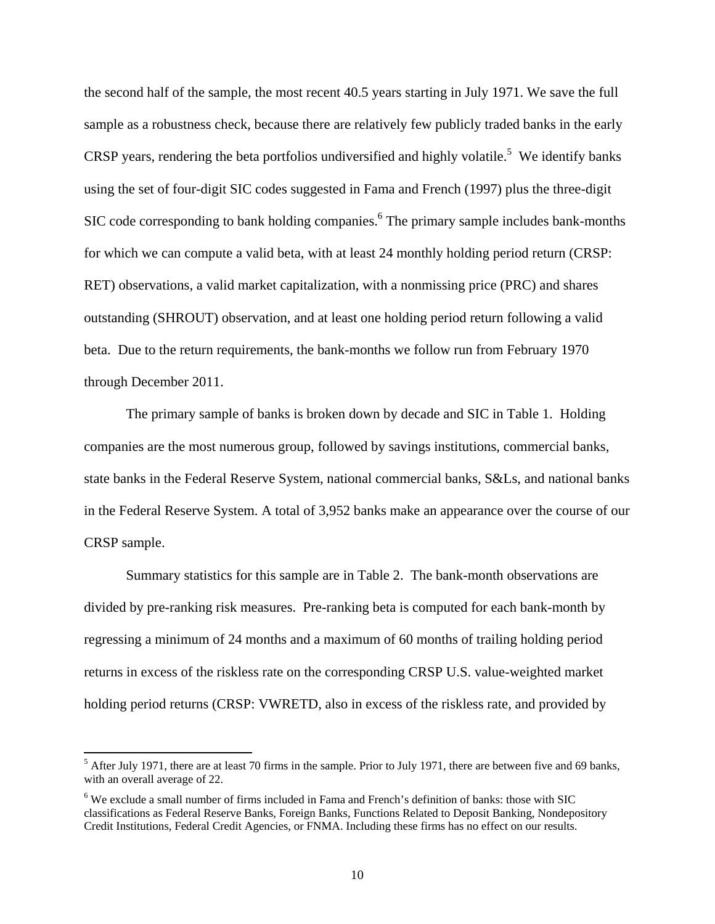the second half of the sample, the most recent 40.5 years starting in July 1971. We save the full sample as a robustness check, because there are relatively few publicly traded banks in the early CRSP years, rendering the beta portfolios undiversified and highly volatile.<sup>5</sup> We identify banks using the set of four-digit SIC codes suggested in Fama and French (1997) plus the three-digit SIC code corresponding to bank holding companies.<sup>6</sup> The primary sample includes bank-months for which we can compute a valid beta, with at least 24 monthly holding period return (CRSP: RET) observations, a valid market capitalization, with a nonmissing price (PRC) and shares outstanding (SHROUT) observation, and at least one holding period return following a valid beta. Due to the return requirements, the bank-months we follow run from February 1970 through December 2011.

The primary sample of banks is broken down by decade and SIC in Table 1. Holding companies are the most numerous group, followed by savings institutions, commercial banks, state banks in the Federal Reserve System, national commercial banks, S&Ls, and national banks in the Federal Reserve System. A total of 3,952 banks make an appearance over the course of our CRSP sample.

Summary statistics for this sample are in Table 2. The bank-month observations are divided by pre-ranking risk measures. Pre-ranking beta is computed for each bank-month by regressing a minimum of 24 months and a maximum of 60 months of trailing holding period returns in excess of the riskless rate on the corresponding CRSP U.S. value-weighted market holding period returns (CRSP: VWRETD, also in excess of the riskless rate, and provided by

 $<sup>5</sup>$  After July 1971, there are at least 70 firms in the sample. Prior to July 1971, there are between five and 69 banks,</sup> with an overall average of 22.

<sup>&</sup>lt;sup>6</sup> We exclude a small number of firms included in Fama and French's definition of banks: those with SIC classifications as Federal Reserve Banks, Foreign Banks, Functions Related to Deposit Banking, Nondepository Credit Institutions, Federal Credit Agencies, or FNMA. Including these firms has no effect on our results.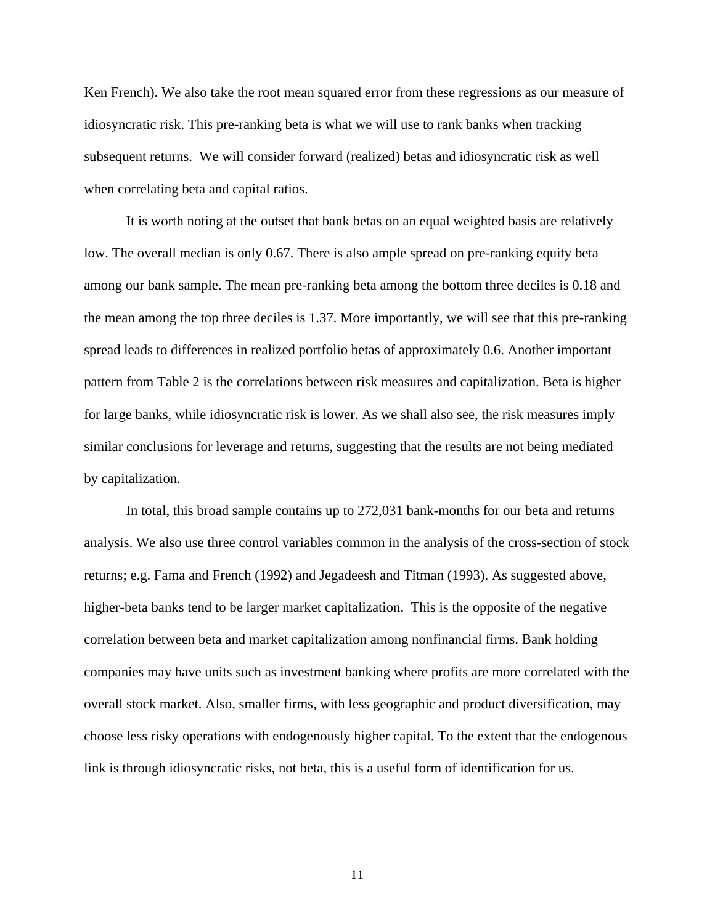Ken French). We also take the root mean squared error from these regressions as our measure of idiosyncratic risk. This pre-ranking beta is what we will use to rank banks when tracking subsequent returns. We will consider forward (realized) betas and idiosyncratic risk as well when correlating beta and capital ratios.

It is worth noting at the outset that bank betas on an equal weighted basis are relatively low. The overall median is only 0.67. There is also ample spread on pre-ranking equity beta among our bank sample. The mean pre-ranking beta among the bottom three deciles is 0.18 and the mean among the top three deciles is 1.37. More importantly, we will see that this pre-ranking spread leads to differences in realized portfolio betas of approximately 0.6. Another important pattern from Table 2 is the correlations between risk measures and capitalization. Beta is higher for large banks, while idiosyncratic risk is lower. As we shall also see, the risk measures imply similar conclusions for leverage and returns, suggesting that the results are not being mediated by capitalization.

In total, this broad sample contains up to 272,031 bank-months for our beta and returns analysis. We also use three control variables common in the analysis of the cross-section of stock returns; e.g. Fama and French (1992) and Jegadeesh and Titman (1993). As suggested above, higher-beta banks tend to be larger market capitalization. This is the opposite of the negative correlation between beta and market capitalization among nonfinancial firms. Bank holding companies may have units such as investment banking where profits are more correlated with the overall stock market. Also, smaller firms, with less geographic and product diversification, may choose less risky operations with endogenously higher capital. To the extent that the endogenous link is through idiosyncratic risks, not beta, this is a useful form of identification for us.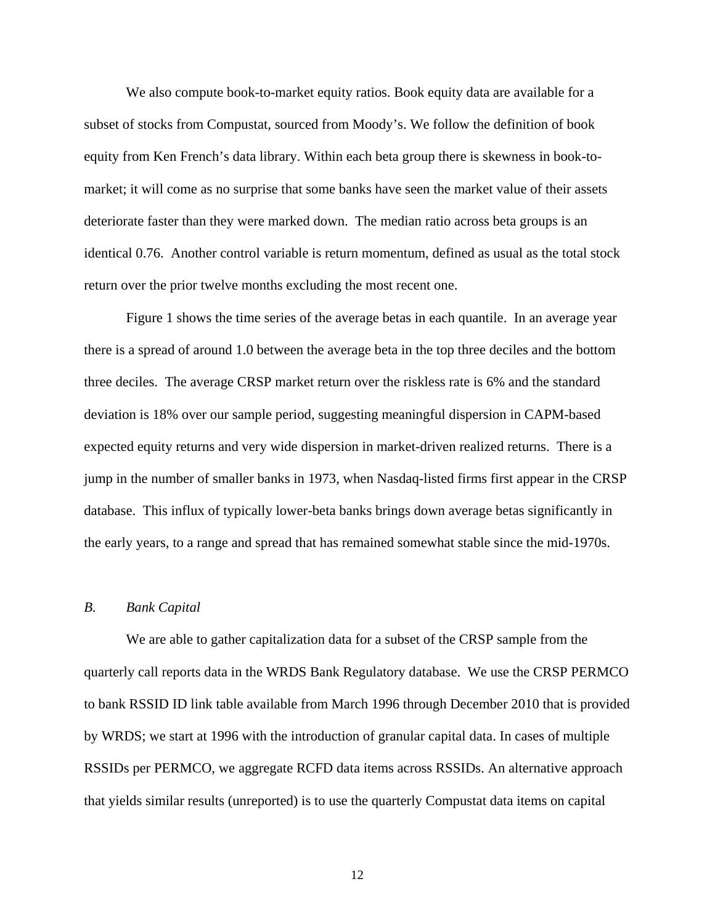We also compute book-to-market equity ratios. Book equity data are available for a subset of stocks from Compustat, sourced from Moody's. We follow the definition of book equity from Ken French's data library. Within each beta group there is skewness in book-tomarket; it will come as no surprise that some banks have seen the market value of their assets deteriorate faster than they were marked down. The median ratio across beta groups is an identical 0.76. Another control variable is return momentum, defined as usual as the total stock return over the prior twelve months excluding the most recent one.

Figure 1 shows the time series of the average betas in each quantile. In an average year there is a spread of around 1.0 between the average beta in the top three deciles and the bottom three deciles. The average CRSP market return over the riskless rate is 6% and the standard deviation is 18% over our sample period, suggesting meaningful dispersion in CAPM-based expected equity returns and very wide dispersion in market-driven realized returns. There is a jump in the number of smaller banks in 1973, when Nasdaq-listed firms first appear in the CRSP database. This influx of typically lower-beta banks brings down average betas significantly in the early years, to a range and spread that has remained somewhat stable since the mid-1970s.

## *B. Bank Capital*

We are able to gather capitalization data for a subset of the CRSP sample from the quarterly call reports data in the WRDS Bank Regulatory database. We use the CRSP PERMCO to bank RSSID ID link table available from March 1996 through December 2010 that is provided by WRDS; we start at 1996 with the introduction of granular capital data. In cases of multiple RSSIDs per PERMCO, we aggregate RCFD data items across RSSIDs. An alternative approach that yields similar results (unreported) is to use the quarterly Compustat data items on capital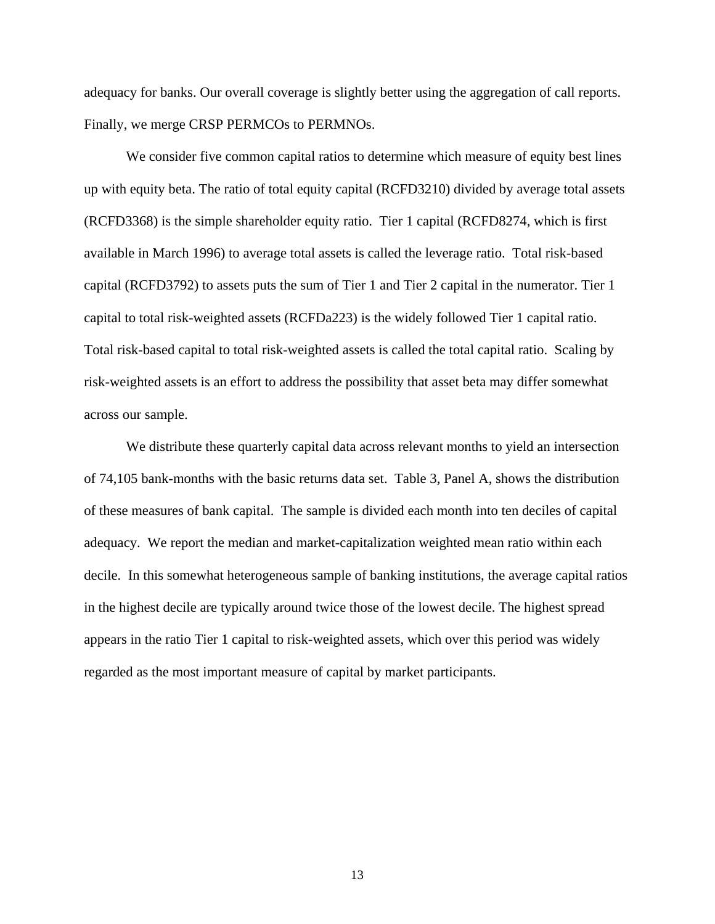adequacy for banks. Our overall coverage is slightly better using the aggregation of call reports. Finally, we merge CRSP PERMCOs to PERMNOs.

We consider five common capital ratios to determine which measure of equity best lines up with equity beta. The ratio of total equity capital (RCFD3210) divided by average total assets (RCFD3368) is the simple shareholder equity ratio. Tier 1 capital (RCFD8274, which is first available in March 1996) to average total assets is called the leverage ratio. Total risk-based capital (RCFD3792) to assets puts the sum of Tier 1 and Tier 2 capital in the numerator. Tier 1 capital to total risk-weighted assets (RCFDa223) is the widely followed Tier 1 capital ratio. Total risk-based capital to total risk-weighted assets is called the total capital ratio. Scaling by risk-weighted assets is an effort to address the possibility that asset beta may differ somewhat across our sample.

We distribute these quarterly capital data across relevant months to yield an intersection of 74,105 bank-months with the basic returns data set. Table 3, Panel A, shows the distribution of these measures of bank capital. The sample is divided each month into ten deciles of capital adequacy. We report the median and market-capitalization weighted mean ratio within each decile. In this somewhat heterogeneous sample of banking institutions, the average capital ratios in the highest decile are typically around twice those of the lowest decile. The highest spread appears in the ratio Tier 1 capital to risk-weighted assets, which over this period was widely regarded as the most important measure of capital by market participants.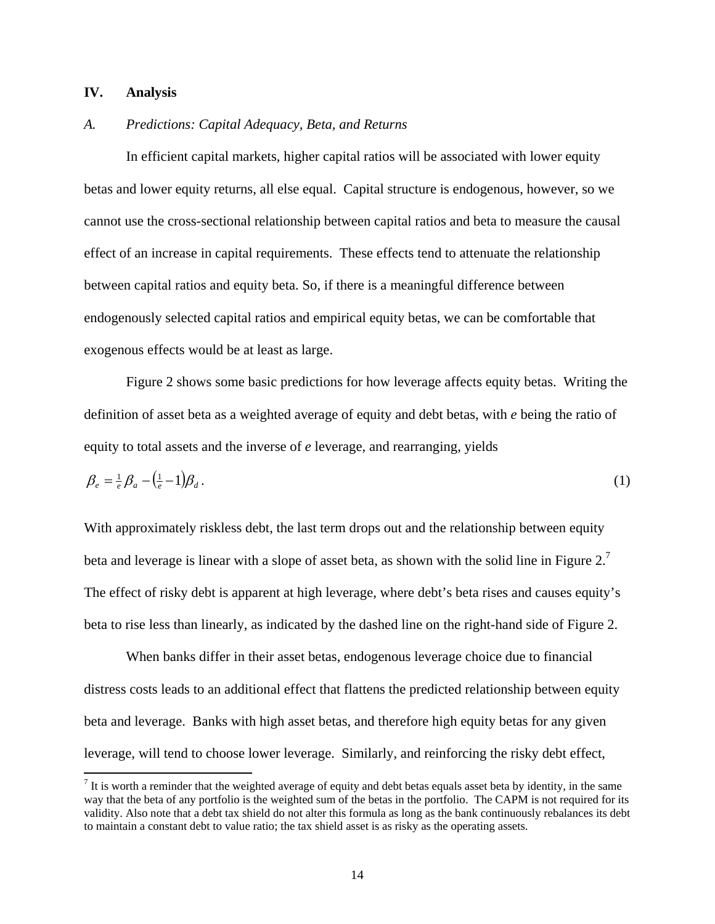## **IV. Analysis**

## *A. Predictions: Capital Adequacy, Beta, and Returns*

 In efficient capital markets, higher capital ratios will be associated with lower equity betas and lower equity returns, all else equal. Capital structure is endogenous, however, so we cannot use the cross-sectional relationship between capital ratios and beta to measure the causal effect of an increase in capital requirements. These effects tend to attenuate the relationship between capital ratios and equity beta. So, if there is a meaningful difference between endogenously selected capital ratios and empirical equity betas, we can be comfortable that exogenous effects would be at least as large.

 Figure 2 shows some basic predictions for how leverage affects equity betas. Writing the definition of asset beta as a weighted average of equity and debt betas, with *e* being the ratio of equity to total assets and the inverse of *e* leverage, and rearranging, yields

$$
\beta_e = \frac{1}{e} \beta_a - \left(\frac{1}{e} - 1\right) \beta_d \,. \tag{1}
$$

With approximately riskless debt, the last term drops out and the relationship between equity beta and leverage is linear with a slope of asset beta, as shown with the solid line in Figure 2.<sup>7</sup> The effect of risky debt is apparent at high leverage, where debt's beta rises and causes equity's beta to rise less than linearly, as indicated by the dashed line on the right-hand side of Figure 2.

 When banks differ in their asset betas, endogenous leverage choice due to financial distress costs leads to an additional effect that flattens the predicted relationship between equity beta and leverage. Banks with high asset betas, and therefore high equity betas for any given leverage, will tend to choose lower leverage. Similarly, and reinforcing the risky debt effect,

 $<sup>7</sup>$  It is worth a reminder that the weighted average of equity and debt betas equals asset beta by identity, in the same</sup> way that the beta of any portfolio is the weighted sum of the betas in the portfolio. The CAPM is not required for its validity. Also note that a debt tax shield do not alter this formula as long as the bank continuously rebalances its debt to maintain a constant debt to value ratio; the tax shield asset is as risky as the operating assets.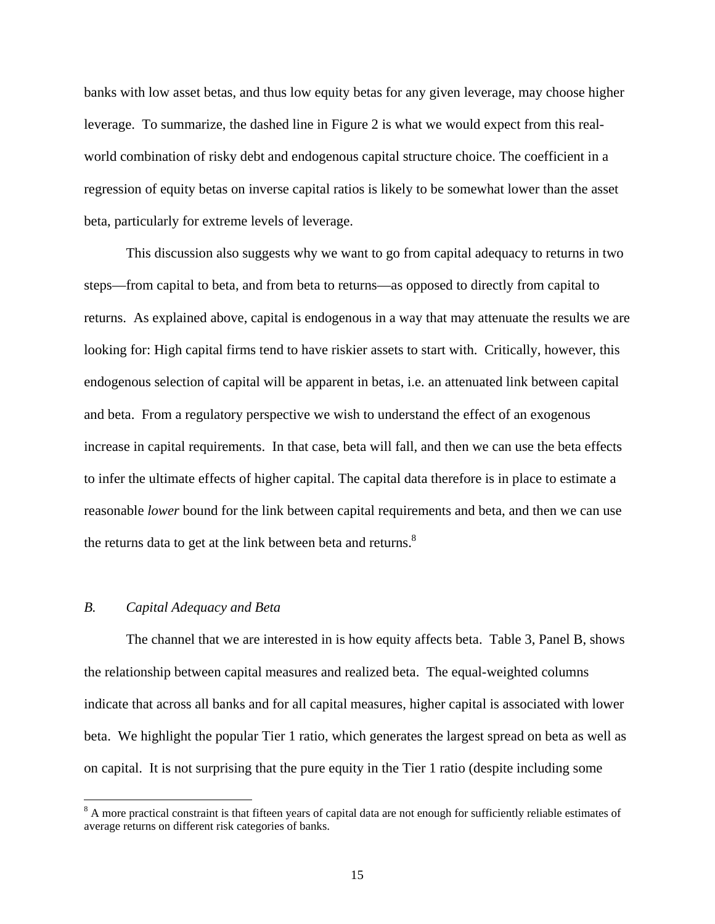banks with low asset betas, and thus low equity betas for any given leverage, may choose higher leverage. To summarize, the dashed line in Figure 2 is what we would expect from this realworld combination of risky debt and endogenous capital structure choice. The coefficient in a regression of equity betas on inverse capital ratios is likely to be somewhat lower than the asset beta, particularly for extreme levels of leverage.

 This discussion also suggests why we want to go from capital adequacy to returns in two steps—from capital to beta, and from beta to returns—as opposed to directly from capital to returns. As explained above, capital is endogenous in a way that may attenuate the results we are looking for: High capital firms tend to have riskier assets to start with. Critically, however, this endogenous selection of capital will be apparent in betas, i.e. an attenuated link between capital and beta. From a regulatory perspective we wish to understand the effect of an exogenous increase in capital requirements. In that case, beta will fall, and then we can use the beta effects to infer the ultimate effects of higher capital. The capital data therefore is in place to estimate a reasonable *lower* bound for the link between capital requirements and beta, and then we can use the returns data to get at the link between beta and returns. $8<sup>8</sup>$ 

# *B. Capital Adequacy and Beta*

The channel that we are interested in is how equity affects beta. Table 3, Panel B, shows the relationship between capital measures and realized beta. The equal-weighted columns indicate that across all banks and for all capital measures, higher capital is associated with lower beta. We highlight the popular Tier 1 ratio, which generates the largest spread on beta as well as on capital. It is not surprising that the pure equity in the Tier 1 ratio (despite including some

 $8$  A more practical constraint is that fifteen years of capital data are not enough for sufficiently reliable estimates of average returns on different risk categories of banks.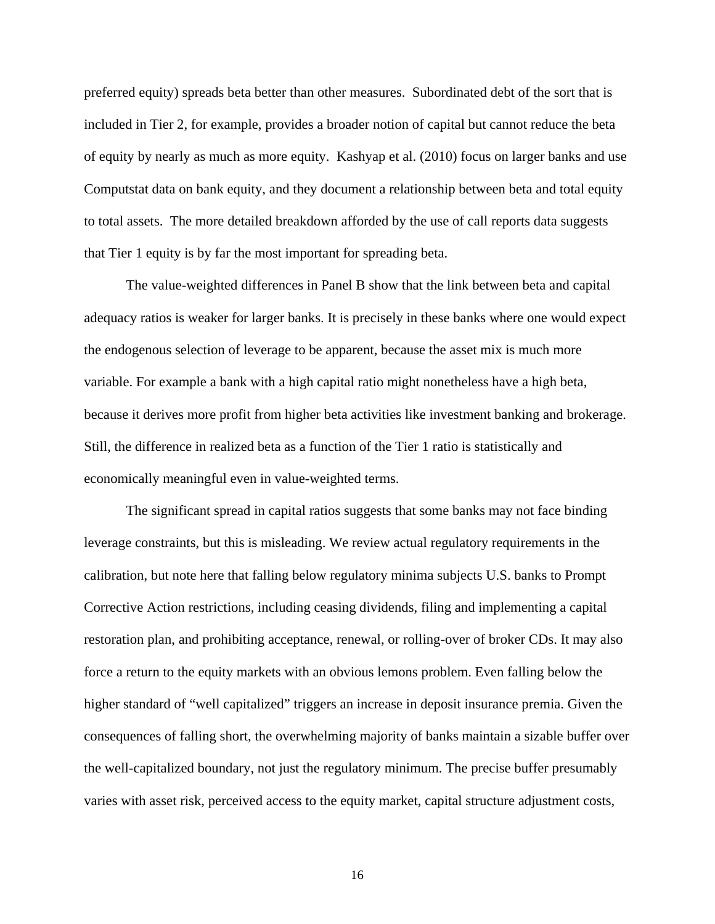preferred equity) spreads beta better than other measures. Subordinated debt of the sort that is included in Tier 2, for example, provides a broader notion of capital but cannot reduce the beta of equity by nearly as much as more equity. Kashyap et al. (2010) focus on larger banks and use Computstat data on bank equity, and they document a relationship between beta and total equity to total assets. The more detailed breakdown afforded by the use of call reports data suggests that Tier 1 equity is by far the most important for spreading beta.

The value-weighted differences in Panel B show that the link between beta and capital adequacy ratios is weaker for larger banks. It is precisely in these banks where one would expect the endogenous selection of leverage to be apparent, because the asset mix is much more variable. For example a bank with a high capital ratio might nonetheless have a high beta, because it derives more profit from higher beta activities like investment banking and brokerage. Still, the difference in realized beta as a function of the Tier 1 ratio is statistically and economically meaningful even in value-weighted terms.

The significant spread in capital ratios suggests that some banks may not face binding leverage constraints, but this is misleading. We review actual regulatory requirements in the calibration, but note here that falling below regulatory minima subjects U.S. banks to Prompt Corrective Action restrictions, including ceasing dividends, filing and implementing a capital restoration plan, and prohibiting acceptance, renewal, or rolling-over of broker CDs. It may also force a return to the equity markets with an obvious lemons problem. Even falling below the higher standard of "well capitalized" triggers an increase in deposit insurance premia. Given the consequences of falling short, the overwhelming majority of banks maintain a sizable buffer over the well-capitalized boundary, not just the regulatory minimum. The precise buffer presumably varies with asset risk, perceived access to the equity market, capital structure adjustment costs,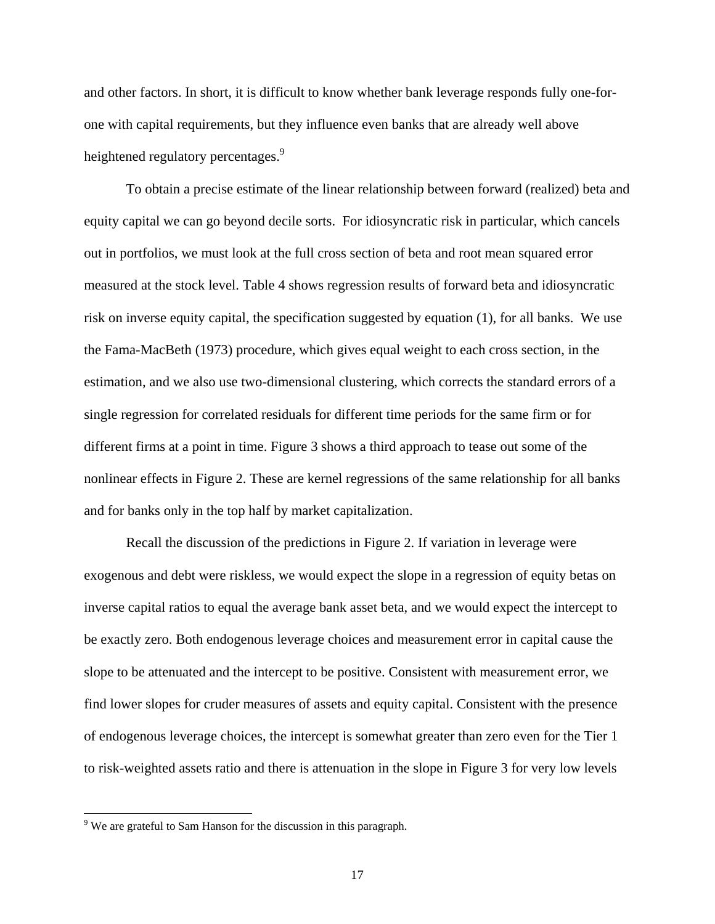and other factors. In short, it is difficult to know whether bank leverage responds fully one-forone with capital requirements, but they influence even banks that are already well above heightened regulatory percentages.<sup>9</sup>

To obtain a precise estimate of the linear relationship between forward (realized) beta and equity capital we can go beyond decile sorts. For idiosyncratic risk in particular, which cancels out in portfolios, we must look at the full cross section of beta and root mean squared error measured at the stock level. Table 4 shows regression results of forward beta and idiosyncratic risk on inverse equity capital, the specification suggested by equation (1), for all banks. We use the Fama-MacBeth (1973) procedure, which gives equal weight to each cross section, in the estimation, and we also use two-dimensional clustering, which corrects the standard errors of a single regression for correlated residuals for different time periods for the same firm or for different firms at a point in time. Figure 3 shows a third approach to tease out some of the nonlinear effects in Figure 2. These are kernel regressions of the same relationship for all banks and for banks only in the top half by market capitalization.

Recall the discussion of the predictions in Figure 2. If variation in leverage were exogenous and debt were riskless, we would expect the slope in a regression of equity betas on inverse capital ratios to equal the average bank asset beta, and we would expect the intercept to be exactly zero. Both endogenous leverage choices and measurement error in capital cause the slope to be attenuated and the intercept to be positive. Consistent with measurement error, we find lower slopes for cruder measures of assets and equity capital. Consistent with the presence of endogenous leverage choices, the intercept is somewhat greater than zero even for the Tier 1 to risk-weighted assets ratio and there is attenuation in the slope in Figure 3 for very low levels

<sup>&</sup>lt;sup>9</sup> We are grateful to Sam Hanson for the discussion in this paragraph.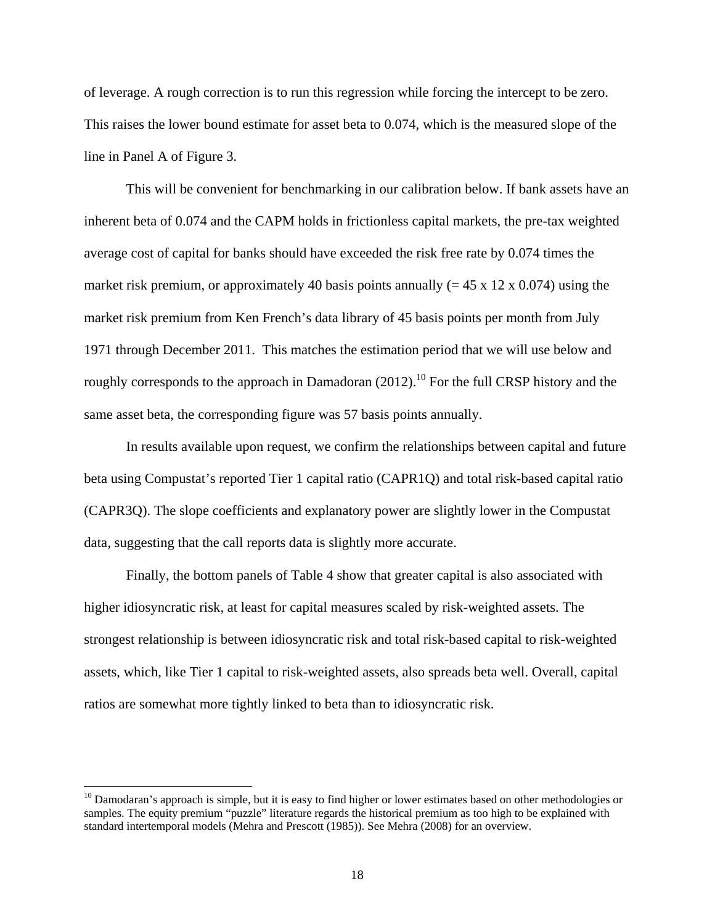of leverage. A rough correction is to run this regression while forcing the intercept to be zero. This raises the lower bound estimate for asset beta to 0.074, which is the measured slope of the line in Panel A of Figure 3.

This will be convenient for benchmarking in our calibration below. If bank assets have an inherent beta of 0.074 and the CAPM holds in frictionless capital markets, the pre-tax weighted average cost of capital for banks should have exceeded the risk free rate by 0.074 times the market risk premium, or approximately 40 basis points annually  $(= 45 \times 12 \times 0.074)$  using the market risk premium from Ken French's data library of 45 basis points per month from July 1971 through December 2011. This matches the estimation period that we will use below and roughly corresponds to the approach in Damadoran  $(2012)$ .<sup>10</sup> For the full CRSP history and the same asset beta, the corresponding figure was 57 basis points annually.

In results available upon request, we confirm the relationships between capital and future beta using Compustat's reported Tier 1 capital ratio (CAPR1Q) and total risk-based capital ratio (CAPR3Q). The slope coefficients and explanatory power are slightly lower in the Compustat data, suggesting that the call reports data is slightly more accurate.

Finally, the bottom panels of Table 4 show that greater capital is also associated with higher idiosyncratic risk, at least for capital measures scaled by risk-weighted assets. The strongest relationship is between idiosyncratic risk and total risk-based capital to risk-weighted assets, which, like Tier 1 capital to risk-weighted assets, also spreads beta well. Overall, capital ratios are somewhat more tightly linked to beta than to idiosyncratic risk.

<sup>&</sup>lt;sup>10</sup> Damodaran's approach is simple, but it is easy to find higher or lower estimates based on other methodologies or samples. The equity premium "puzzle" literature regards the historical premium as too high to be explained with standard intertemporal models (Mehra and Prescott (1985)). See Mehra (2008) for an overview.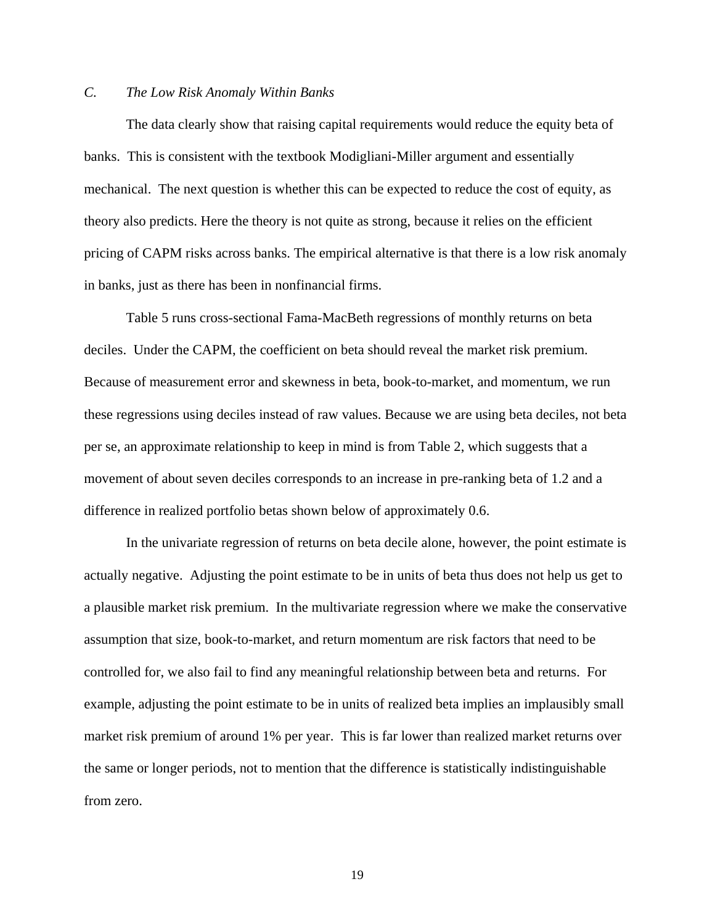# *C. The Low Risk Anomaly Within Banks*

The data clearly show that raising capital requirements would reduce the equity beta of banks. This is consistent with the textbook Modigliani-Miller argument and essentially mechanical. The next question is whether this can be expected to reduce the cost of equity, as theory also predicts. Here the theory is not quite as strong, because it relies on the efficient pricing of CAPM risks across banks. The empirical alternative is that there is a low risk anomaly in banks, just as there has been in nonfinancial firms.

Table 5 runs cross-sectional Fama-MacBeth regressions of monthly returns on beta deciles. Under the CAPM, the coefficient on beta should reveal the market risk premium. Because of measurement error and skewness in beta, book-to-market, and momentum, we run these regressions using deciles instead of raw values. Because we are using beta deciles, not beta per se, an approximate relationship to keep in mind is from Table 2, which suggests that a movement of about seven deciles corresponds to an increase in pre-ranking beta of 1.2 and a difference in realized portfolio betas shown below of approximately 0.6.

In the univariate regression of returns on beta decile alone, however, the point estimate is actually negative. Adjusting the point estimate to be in units of beta thus does not help us get to a plausible market risk premium. In the multivariate regression where we make the conservative assumption that size, book-to-market, and return momentum are risk factors that need to be controlled for, we also fail to find any meaningful relationship between beta and returns. For example, adjusting the point estimate to be in units of realized beta implies an implausibly small market risk premium of around 1% per year. This is far lower than realized market returns over the same or longer periods, not to mention that the difference is statistically indistinguishable from zero.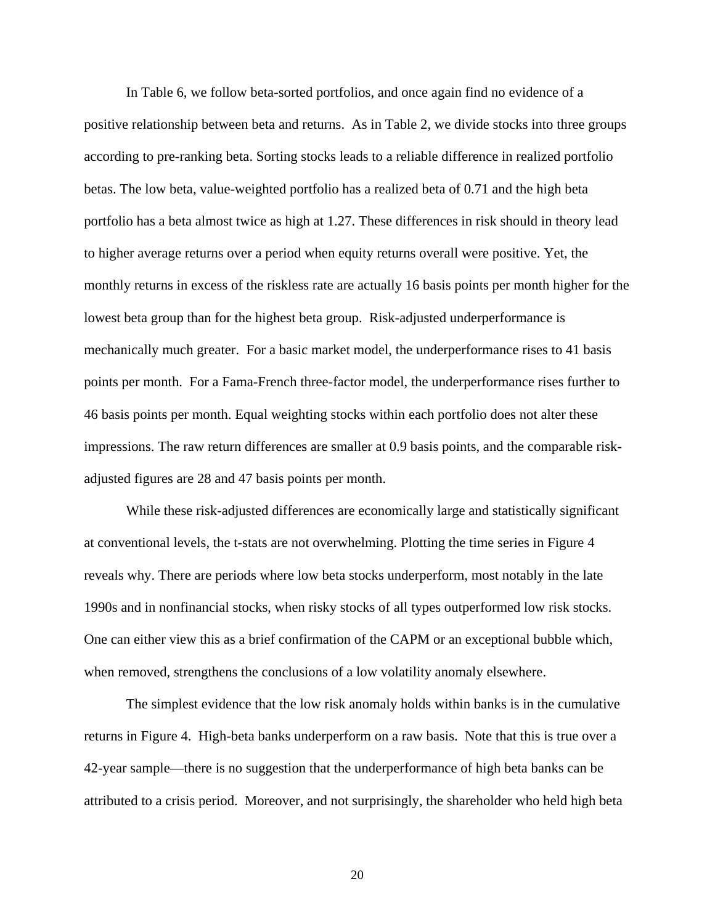In Table 6, we follow beta-sorted portfolios, and once again find no evidence of a positive relationship between beta and returns. As in Table 2, we divide stocks into three groups according to pre-ranking beta. Sorting stocks leads to a reliable difference in realized portfolio betas. The low beta, value-weighted portfolio has a realized beta of 0.71 and the high beta portfolio has a beta almost twice as high at 1.27. These differences in risk should in theory lead to higher average returns over a period when equity returns overall were positive. Yet, the monthly returns in excess of the riskless rate are actually 16 basis points per month higher for the lowest beta group than for the highest beta group. Risk-adjusted underperformance is mechanically much greater. For a basic market model, the underperformance rises to 41 basis points per month. For a Fama-French three-factor model, the underperformance rises further to 46 basis points per month. Equal weighting stocks within each portfolio does not alter these impressions. The raw return differences are smaller at 0.9 basis points, and the comparable riskadjusted figures are 28 and 47 basis points per month.

While these risk-adjusted differences are economically large and statistically significant at conventional levels, the t-stats are not overwhelming. Plotting the time series in Figure 4 reveals why. There are periods where low beta stocks underperform, most notably in the late 1990s and in nonfinancial stocks, when risky stocks of all types outperformed low risk stocks. One can either view this as a brief confirmation of the CAPM or an exceptional bubble which, when removed, strengthens the conclusions of a low volatility anomaly elsewhere.

The simplest evidence that the low risk anomaly holds within banks is in the cumulative returns in Figure 4. High-beta banks underperform on a raw basis. Note that this is true over a 42-year sample—there is no suggestion that the underperformance of high beta banks can be attributed to a crisis period. Moreover, and not surprisingly, the shareholder who held high beta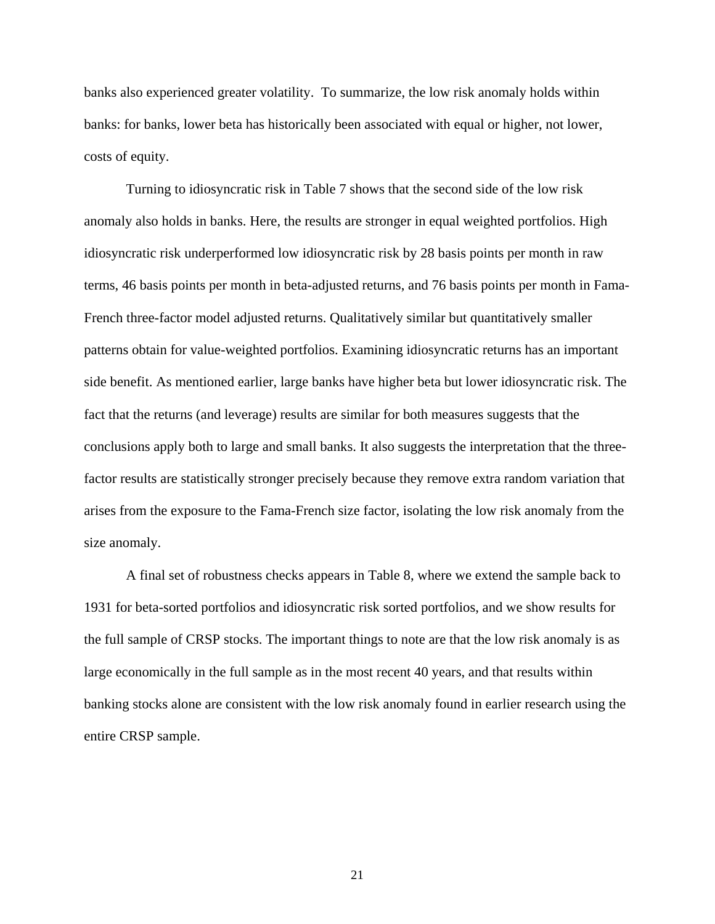banks also experienced greater volatility. To summarize, the low risk anomaly holds within banks: for banks, lower beta has historically been associated with equal or higher, not lower, costs of equity.

Turning to idiosyncratic risk in Table 7 shows that the second side of the low risk anomaly also holds in banks. Here, the results are stronger in equal weighted portfolios. High idiosyncratic risk underperformed low idiosyncratic risk by 28 basis points per month in raw terms, 46 basis points per month in beta-adjusted returns, and 76 basis points per month in Fama-French three-factor model adjusted returns. Qualitatively similar but quantitatively smaller patterns obtain for value-weighted portfolios. Examining idiosyncratic returns has an important side benefit. As mentioned earlier, large banks have higher beta but lower idiosyncratic risk. The fact that the returns (and leverage) results are similar for both measures suggests that the conclusions apply both to large and small banks. It also suggests the interpretation that the threefactor results are statistically stronger precisely because they remove extra random variation that arises from the exposure to the Fama-French size factor, isolating the low risk anomaly from the size anomaly.

A final set of robustness checks appears in Table 8, where we extend the sample back to 1931 for beta-sorted portfolios and idiosyncratic risk sorted portfolios, and we show results for the full sample of CRSP stocks. The important things to note are that the low risk anomaly is as large economically in the full sample as in the most recent 40 years, and that results within banking stocks alone are consistent with the low risk anomaly found in earlier research using the entire CRSP sample.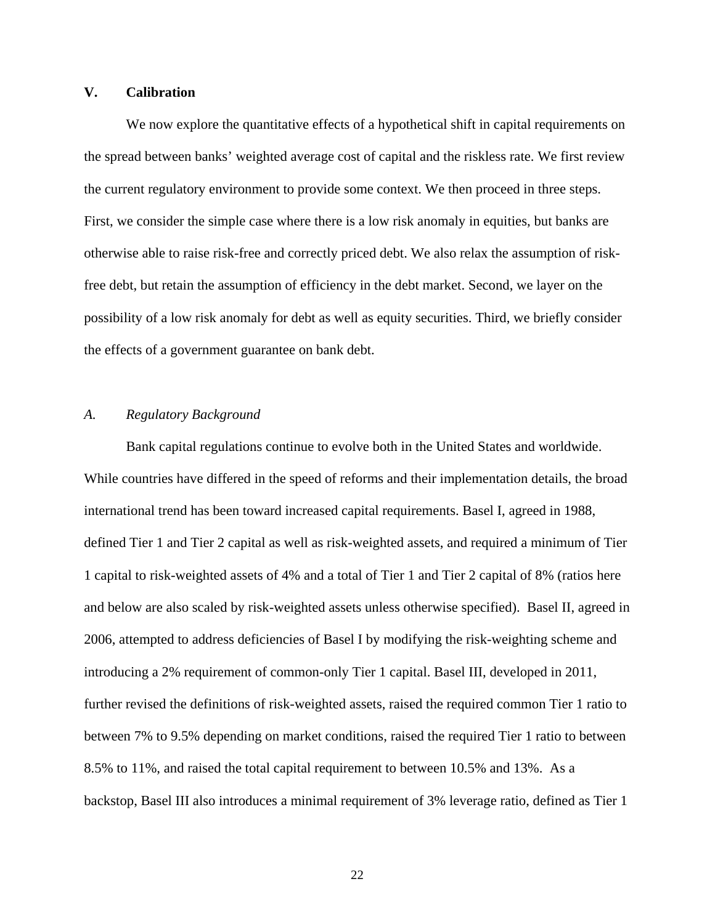# **V. Calibration**

We now explore the quantitative effects of a hypothetical shift in capital requirements on the spread between banks' weighted average cost of capital and the riskless rate. We first review the current regulatory environment to provide some context. We then proceed in three steps. First, we consider the simple case where there is a low risk anomaly in equities, but banks are otherwise able to raise risk-free and correctly priced debt. We also relax the assumption of riskfree debt, but retain the assumption of efficiency in the debt market. Second, we layer on the possibility of a low risk anomaly for debt as well as equity securities. Third, we briefly consider the effects of a government guarantee on bank debt.

# *A. Regulatory Background*

Bank capital regulations continue to evolve both in the United States and worldwide. While countries have differed in the speed of reforms and their implementation details, the broad international trend has been toward increased capital requirements. Basel I, agreed in 1988, defined Tier 1 and Tier 2 capital as well as risk-weighted assets, and required a minimum of Tier 1 capital to risk-weighted assets of 4% and a total of Tier 1 and Tier 2 capital of 8% (ratios here and below are also scaled by risk-weighted assets unless otherwise specified). Basel II, agreed in 2006, attempted to address deficiencies of Basel I by modifying the risk-weighting scheme and introducing a 2% requirement of common-only Tier 1 capital. Basel III, developed in 2011, further revised the definitions of risk-weighted assets, raised the required common Tier 1 ratio to between 7% to 9.5% depending on market conditions, raised the required Tier 1 ratio to between 8.5% to 11%, and raised the total capital requirement to between 10.5% and 13%. As a backstop, Basel III also introduces a minimal requirement of 3% leverage ratio, defined as Tier 1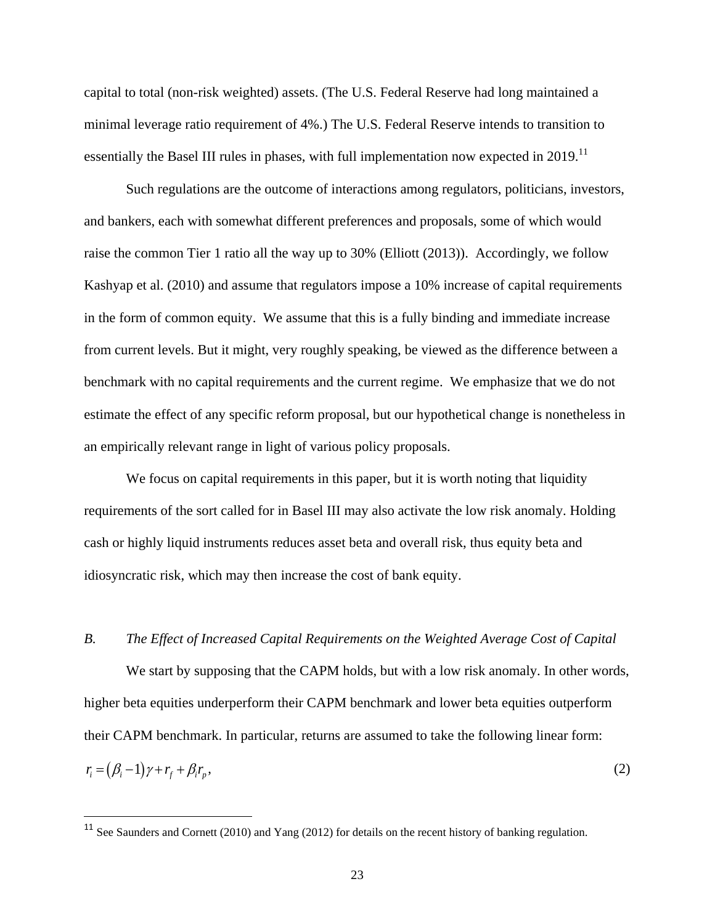capital to total (non-risk weighted) assets. (The U.S. Federal Reserve had long maintained a minimal leverage ratio requirement of 4%.) The U.S. Federal Reserve intends to transition to essentially the Basel III rules in phases, with full implementation now expected in 2019.<sup>11</sup>

Such regulations are the outcome of interactions among regulators, politicians, investors, and bankers, each with somewhat different preferences and proposals, some of which would raise the common Tier 1 ratio all the way up to 30% (Elliott (2013)). Accordingly, we follow Kashyap et al. (2010) and assume that regulators impose a 10% increase of capital requirements in the form of common equity. We assume that this is a fully binding and immediate increase from current levels. But it might, very roughly speaking, be viewed as the difference between a benchmark with no capital requirements and the current regime. We emphasize that we do not estimate the effect of any specific reform proposal, but our hypothetical change is nonetheless in an empirically relevant range in light of various policy proposals.

We focus on capital requirements in this paper, but it is worth noting that liquidity requirements of the sort called for in Basel III may also activate the low risk anomaly. Holding cash or highly liquid instruments reduces asset beta and overall risk, thus equity beta and idiosyncratic risk, which may then increase the cost of bank equity.

## *B. The Effect of Increased Capital Requirements on the Weighted Average Cost of Capital*

We start by supposing that the CAPM holds, but with a low risk anomaly. In other words, higher beta equities underperform their CAPM benchmark and lower beta equities outperform their CAPM benchmark. In particular, returns are assumed to take the following linear form:  $r_i = (\beta_i - 1)\gamma + r_f + \beta_i r_n$  $r_p$ , (2)

<sup>&</sup>lt;sup>11</sup> See Saunders and Cornett (2010) and Yang (2012) for details on the recent history of banking regulation.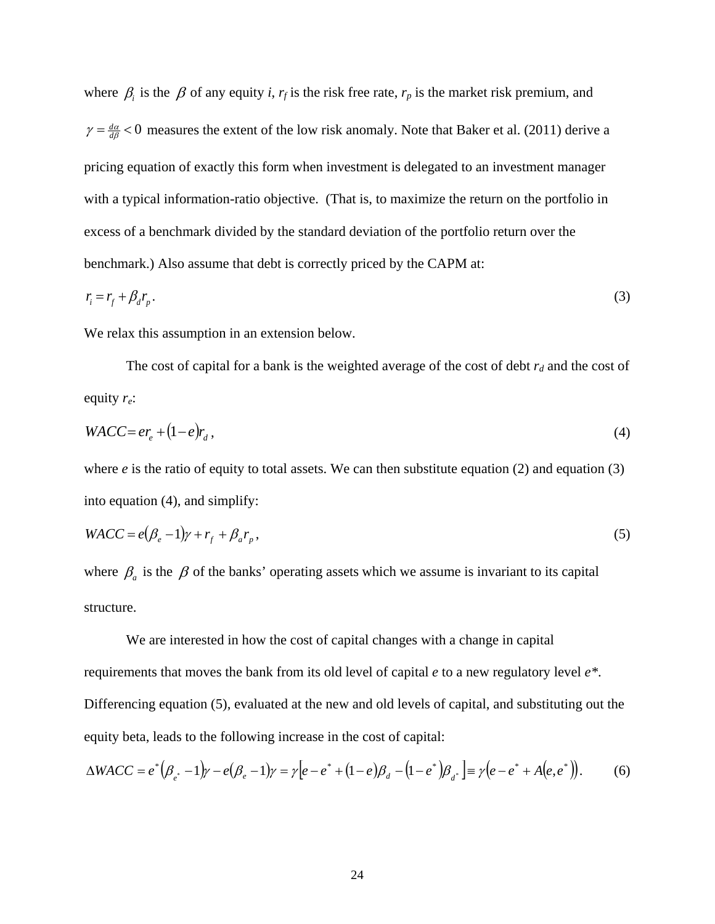where  $\beta$  is the  $\beta$  of any equity *i*,  $r_f$  is the risk free rate,  $r_p$  is the market risk premium, and  $\gamma = \frac{d\alpha}{d\beta}$  < 0 measures the extent of the low risk anomaly. Note that Baker et al. (2011) derive a pricing equation of exactly this form when investment is delegated to an investment manager with a typical information-ratio objective. (That is, to maximize the return on the portfolio in excess of a benchmark divided by the standard deviation of the portfolio return over the benchmark.) Also assume that debt is correctly priced by the CAPM at:

$$
r_i = r_f + \beta_d r_p. \tag{3}
$$

We relax this assumption in an extension below.

The cost of capital for a bank is the weighted average of the cost of debt  $r_d$  and the cost of equity *re*:

$$
WACC = er_e + (1 - e)r_d, \tag{4}
$$

where  $e$  is the ratio of equity to total assets. We can then substitute equation (2) and equation (3) into equation (4), and simplify:

$$
WACC = e(\beta_e - 1)\gamma + r_f + \beta_a r_p, \qquad (5)
$$

where  $\beta_a$  is the  $\beta$  of the banks' operating assets which we assume is invariant to its capital structure.

We are interested in how the cost of capital changes with a change in capital requirements that moves the bank from its old level of capital *e* to a new regulatory level *e\**. Differencing equation (5), evaluated at the new and old levels of capital, and substituting out the equity beta, leads to the following increase in the cost of capital:

$$
\Delta WACC = e^* (\beta_{e^*} - 1) \gamma - e(\beta_e - 1) \gamma = \gamma [e - e^* + (1 - e) \beta_d - (1 - e^*) \beta_{d^*}] = \gamma (e - e^* + A(e, e^*)). \tag{6}
$$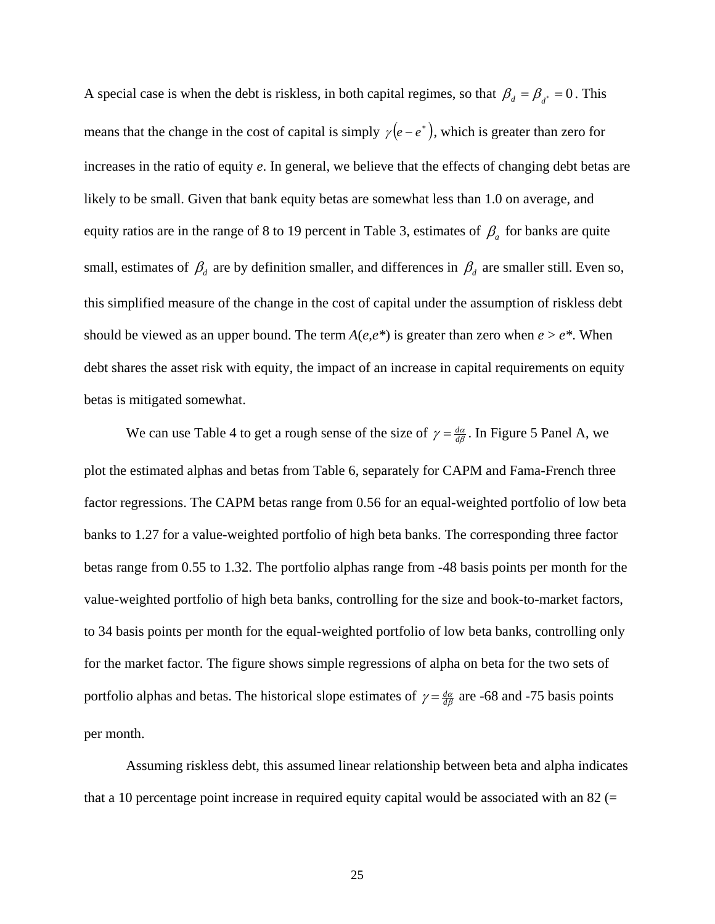A special case is when the debt is riskless, in both capital regimes, so that  $\beta_d = \beta_{d^*} = 0$ . This means that the change in the cost of capital is simply  $\gamma(e-e^*)$ , which is greater than zero for increases in the ratio of equity *e*. In general, we believe that the effects of changing debt betas are likely to be small. Given that bank equity betas are somewhat less than 1.0 on average, and equity ratios are in the range of 8 to 19 percent in Table 3, estimates of  $\beta_a$  for banks are quite small, estimates of  $\beta_d$  are by definition smaller, and differences in  $\beta_d$  are smaller still. Even so, this simplified measure of the change in the cost of capital under the assumption of riskless debt should be viewed as an upper bound. The term  $A(e,e^*)$  is greater than zero when  $e > e^*$ . When debt shares the asset risk with equity, the impact of an increase in capital requirements on equity betas is mitigated somewhat.

We can use Table 4 to get a rough sense of the size of  $\gamma = \frac{d\alpha}{d\beta}$ . In Figure 5 Panel A, we plot the estimated alphas and betas from Table 6, separately for CAPM and Fama-French three factor regressions. The CAPM betas range from 0.56 for an equal-weighted portfolio of low beta banks to 1.27 for a value-weighted portfolio of high beta banks. The corresponding three factor betas range from 0.55 to 1.32. The portfolio alphas range from -48 basis points per month for the value-weighted portfolio of high beta banks, controlling for the size and book-to-market factors, to 34 basis points per month for the equal-weighted portfolio of low beta banks, controlling only for the market factor. The figure shows simple regressions of alpha on beta for the two sets of portfolio alphas and betas. The historical slope estimates of  $\gamma = \frac{d\alpha}{d\beta}$  are -68 and -75 basis points per month.

Assuming riskless debt, this assumed linear relationship between beta and alpha indicates that a 10 percentage point increase in required equity capital would be associated with an  $82$  (=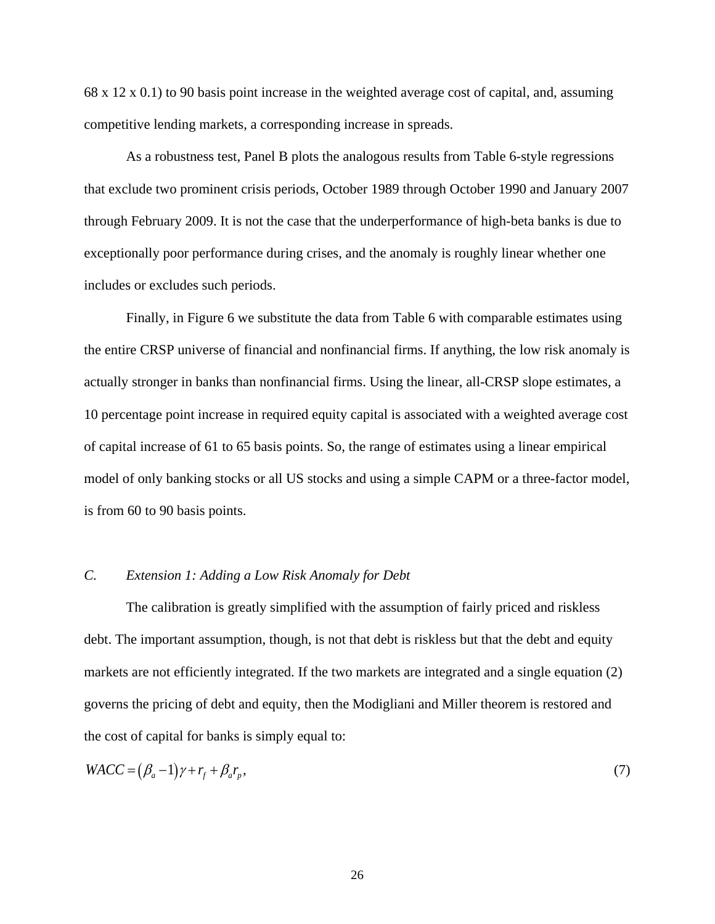68 x 12 x 0.1) to 90 basis point increase in the weighted average cost of capital, and, assuming competitive lending markets, a corresponding increase in spreads.

As a robustness test, Panel B plots the analogous results from Table 6-style regressions that exclude two prominent crisis periods, October 1989 through October 1990 and January 2007 through February 2009. It is not the case that the underperformance of high-beta banks is due to exceptionally poor performance during crises, and the anomaly is roughly linear whether one includes or excludes such periods.

Finally, in Figure 6 we substitute the data from Table 6 with comparable estimates using the entire CRSP universe of financial and nonfinancial firms. If anything, the low risk anomaly is actually stronger in banks than nonfinancial firms. Using the linear, all-CRSP slope estimates, a 10 percentage point increase in required equity capital is associated with a weighted average cost of capital increase of 61 to 65 basis points. So, the range of estimates using a linear empirical model of only banking stocks or all US stocks and using a simple CAPM or a three-factor model, is from 60 to 90 basis points.

# *C. Extension 1: Adding a Low Risk Anomaly for Debt*

The calibration is greatly simplified with the assumption of fairly priced and riskless debt. The important assumption, though, is not that debt is riskless but that the debt and equity markets are not efficiently integrated. If the two markets are integrated and a single equation (2) governs the pricing of debt and equity, then the Modigliani and Miller theorem is restored and the cost of capital for banks is simply equal to:

$$
WACC = (\beta_a - 1)\gamma + r_f + \beta_a r_p, \tag{7}
$$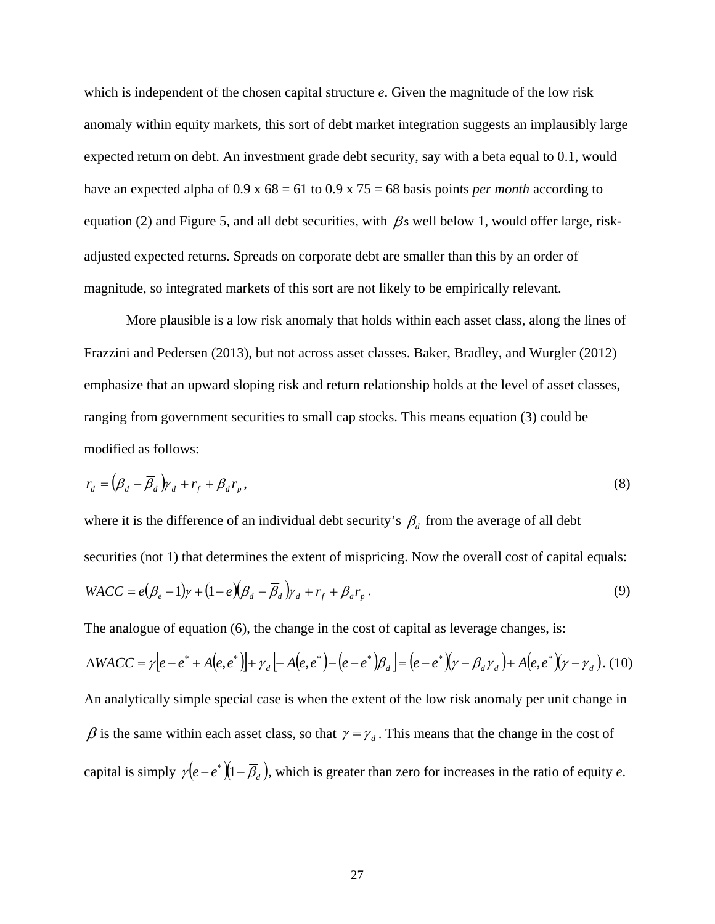which is independent of the chosen capital structure *e*. Given the magnitude of the low risk anomaly within equity markets, this sort of debt market integration suggests an implausibly large expected return on debt. An investment grade debt security, say with a beta equal to 0.1, would have an expected alpha of 0.9 x 68 = 61 to 0.9 x 75 = 68 basis points *per month* according to equation (2) and Figure 5, and all debt securities, with  $\beta$ s well below 1, would offer large, riskadjusted expected returns. Spreads on corporate debt are smaller than this by an order of magnitude, so integrated markets of this sort are not likely to be empirically relevant.

More plausible is a low risk anomaly that holds within each asset class, along the lines of Frazzini and Pedersen (2013), but not across asset classes. Baker, Bradley, and Wurgler (2012) emphasize that an upward sloping risk and return relationship holds at the level of asset classes, ranging from government securities to small cap stocks. This means equation (3) could be modified as follows:

$$
r_d = \left(\beta_d - \overline{\beta}_d\right)\gamma_d + r_f + \beta_d r_p, \tag{8}
$$

where it is the difference of an individual debt security's  $\beta_d$  from the average of all debt securities (not 1) that determines the extent of mispricing. Now the overall cost of capital equals:  $WACC = e(\beta_e - 1)\gamma + (1 - e)(\beta_d - \overline{\beta}_d)\gamma_d + r_f + \beta_a r_p$ . (9)

The analogue of equation (6), the change in the cost of capital as leverage changes, is:

$$
\Delta WACC = \gamma[e - e^* + A(e, e^*)] + \gamma_d[-A(e, e^*) - (e - e^*)\overline{\beta}_d] = (e - e^*)(\gamma - \overline{\beta}_d \gamma_d) + A(e, e^*)(\gamma - \gamma_d).
$$
 (10)  
An analytically simple special case is when the extent of the low risk anomaly per unit change in  
 $\beta$  is the same within each asset class, so that  $\gamma = \gamma_d$ . This means that the change in the cost of  
capital is simply  $\gamma(e - e^*)(1 - \overline{\beta}_d)$ , which is greater than zero for increases in the ratio of equity *e*.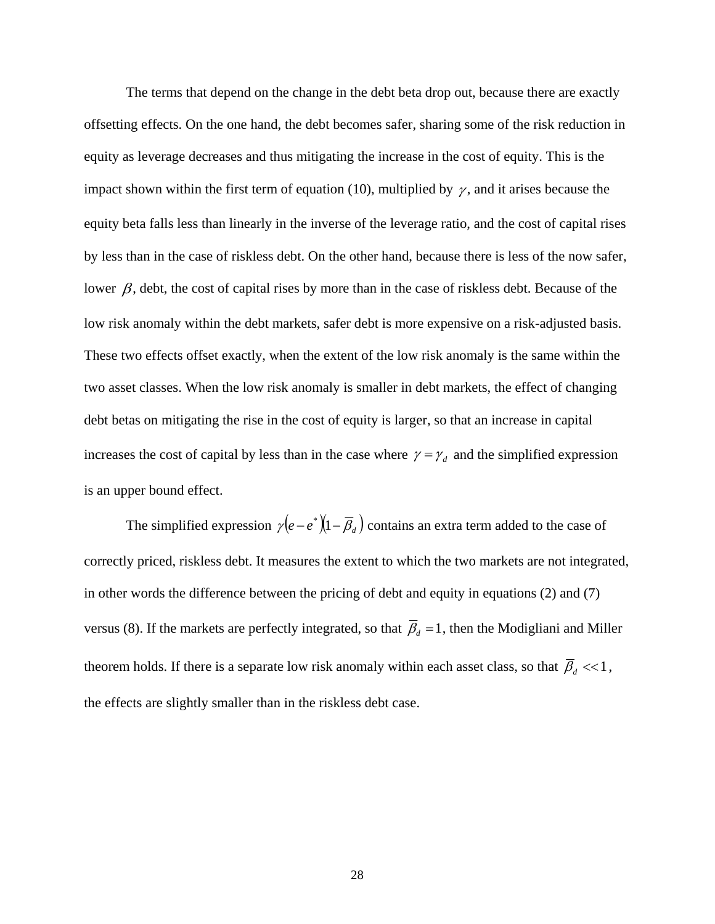The terms that depend on the change in the debt beta drop out, because there are exactly offsetting effects. On the one hand, the debt becomes safer, sharing some of the risk reduction in equity as leverage decreases and thus mitigating the increase in the cost of equity. This is the impact shown within the first term of equation (10), multiplied by  $\gamma$ , and it arises because the equity beta falls less than linearly in the inverse of the leverage ratio, and the cost of capital rises by less than in the case of riskless debt. On the other hand, because there is less of the now safer, lower  $\beta$ , debt, the cost of capital rises by more than in the case of riskless debt. Because of the low risk anomaly within the debt markets, safer debt is more expensive on a risk-adjusted basis. These two effects offset exactly, when the extent of the low risk anomaly is the same within the two asset classes. When the low risk anomaly is smaller in debt markets, the effect of changing debt betas on mitigating the rise in the cost of equity is larger, so that an increase in capital increases the cost of capital by less than in the case where  $\gamma = \gamma_d$  and the simplified expression is an upper bound effect.

The simplified expression  $\gamma(e-e^*)\left(1-\overline{\beta}_d\right)$  contains an extra term added to the case of correctly priced, riskless debt. It measures the extent to which the two markets are not integrated, in other words the difference between the pricing of debt and equity in equations (2) and (7) versus (8). If the markets are perfectly integrated, so that  $\overline{\beta}_d = 1$ , then the Modigliani and Miller theorem holds. If there is a separate low risk anomaly within each asset class, so that  $\bar{\beta}_d \ll 1$ , the effects are slightly smaller than in the riskless debt case.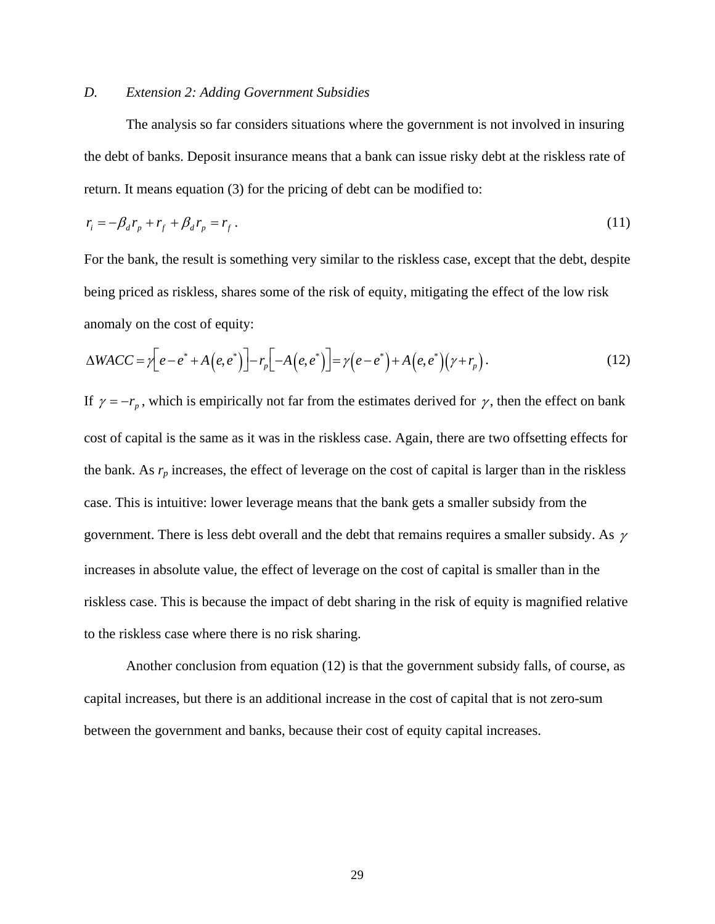# *D. Extension 2: Adding Government Subsidies*

The analysis so far considers situations where the government is not involved in insuring the debt of banks. Deposit insurance means that a bank can issue risky debt at the riskless rate of return. It means equation (3) for the pricing of debt can be modified to:

$$
r_i = -\beta_d r_p + r_f + \beta_d r_p = r_f. \tag{11}
$$

For the bank, the result is something very similar to the riskless case, except that the debt, despite being priced as riskless, shares some of the risk of equity, mitigating the effect of the low risk anomaly on the cost of equity:

$$
\Delta WACC = \gamma \left[ e - e^* + A\left(e, e^*\right) \right] - r_p \left[ -A\left(e, e^*\right) \right] = \gamma \left(e - e^*\right) + A\left(e, e^*\right) \left(\gamma + r_p\right). \tag{12}
$$

If  $\gamma = -r_p$ , which is empirically not far from the estimates derived for  $\gamma$ , then the effect on bank cost of capital is the same as it was in the riskless case. Again, there are two offsetting effects for the bank. As  $r_p$  increases, the effect of leverage on the cost of capital is larger than in the riskless case. This is intuitive: lower leverage means that the bank gets a smaller subsidy from the government. There is less debt overall and the debt that remains requires a smaller subsidy. As  $\gamma$ increases in absolute value, the effect of leverage on the cost of capital is smaller than in the riskless case. This is because the impact of debt sharing in the risk of equity is magnified relative to the riskless case where there is no risk sharing.

Another conclusion from equation (12) is that the government subsidy falls, of course, as capital increases, but there is an additional increase in the cost of capital that is not zero-sum between the government and banks, because their cost of equity capital increases.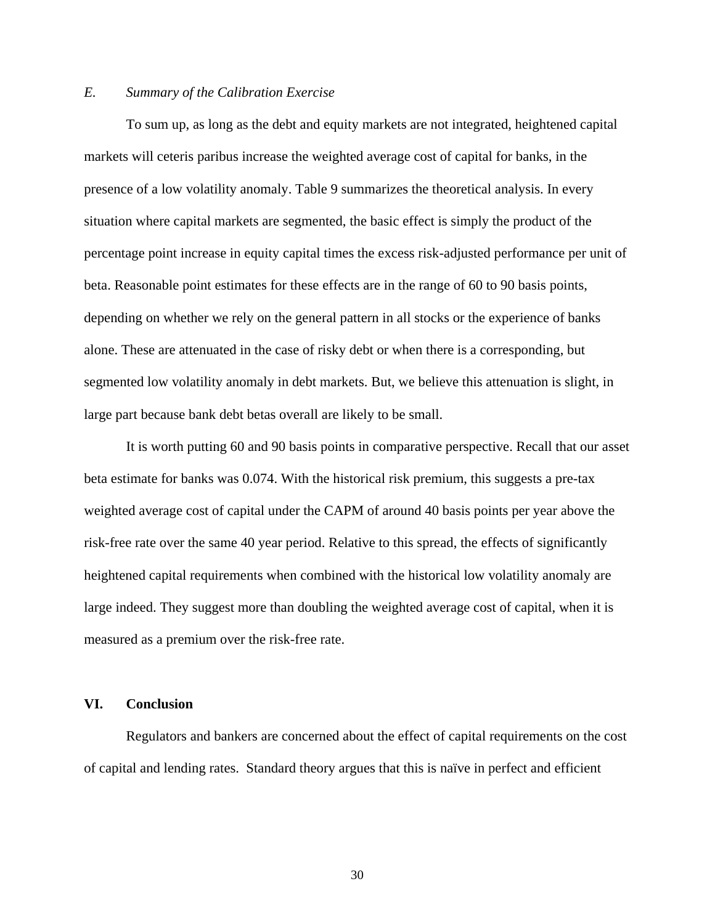# *E. Summary of the Calibration Exercise*

To sum up, as long as the debt and equity markets are not integrated, heightened capital markets will ceteris paribus increase the weighted average cost of capital for banks, in the presence of a low volatility anomaly. Table 9 summarizes the theoretical analysis. In every situation where capital markets are segmented, the basic effect is simply the product of the percentage point increase in equity capital times the excess risk-adjusted performance per unit of beta. Reasonable point estimates for these effects are in the range of 60 to 90 basis points, depending on whether we rely on the general pattern in all stocks or the experience of banks alone. These are attenuated in the case of risky debt or when there is a corresponding, but segmented low volatility anomaly in debt markets. But, we believe this attenuation is slight, in large part because bank debt betas overall are likely to be small.

It is worth putting 60 and 90 basis points in comparative perspective. Recall that our asset beta estimate for banks was 0.074. With the historical risk premium, this suggests a pre-tax weighted average cost of capital under the CAPM of around 40 basis points per year above the risk-free rate over the same 40 year period. Relative to this spread, the effects of significantly heightened capital requirements when combined with the historical low volatility anomaly are large indeed. They suggest more than doubling the weighted average cost of capital, when it is measured as a premium over the risk-free rate.

## **VI. Conclusion**

Regulators and bankers are concerned about the effect of capital requirements on the cost of capital and lending rates. Standard theory argues that this is naïve in perfect and efficient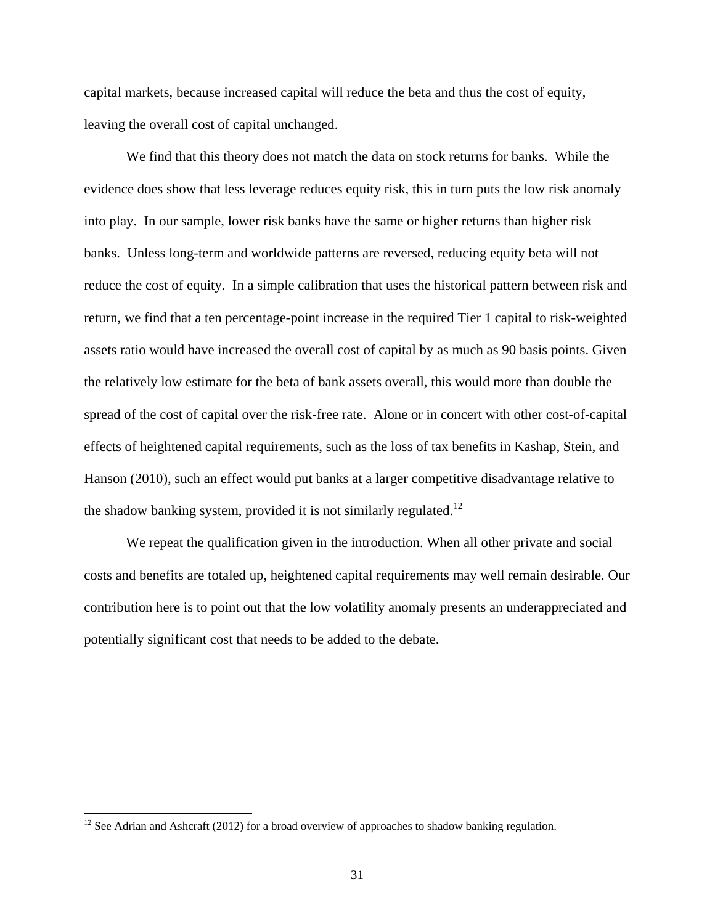capital markets, because increased capital will reduce the beta and thus the cost of equity, leaving the overall cost of capital unchanged.

We find that this theory does not match the data on stock returns for banks. While the evidence does show that less leverage reduces equity risk, this in turn puts the low risk anomaly into play. In our sample, lower risk banks have the same or higher returns than higher risk banks. Unless long-term and worldwide patterns are reversed, reducing equity beta will not reduce the cost of equity. In a simple calibration that uses the historical pattern between risk and return, we find that a ten percentage-point increase in the required Tier 1 capital to risk-weighted assets ratio would have increased the overall cost of capital by as much as 90 basis points. Given the relatively low estimate for the beta of bank assets overall, this would more than double the spread of the cost of capital over the risk-free rate. Alone or in concert with other cost-of-capital effects of heightened capital requirements, such as the loss of tax benefits in Kashap, Stein, and Hanson (2010), such an effect would put banks at a larger competitive disadvantage relative to the shadow banking system, provided it is not similarly regulated.<sup>12</sup>

We repeat the qualification given in the introduction. When all other private and social costs and benefits are totaled up, heightened capital requirements may well remain desirable. Our contribution here is to point out that the low volatility anomaly presents an underappreciated and potentially significant cost that needs to be added to the debate.

 $12$  See Adrian and Ashcraft (2012) for a broad overview of approaches to shadow banking regulation.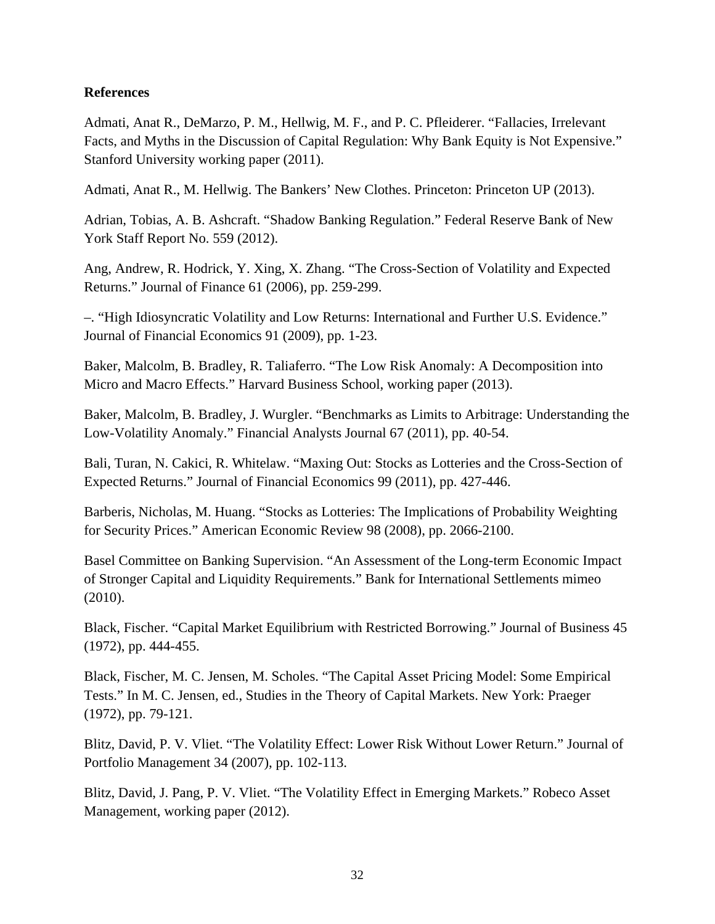# **References**

Admati, Anat R., DeMarzo, P. M., Hellwig, M. F., and P. C. Pfleiderer. "Fallacies, Irrelevant Facts, and Myths in the Discussion of Capital Regulation: Why Bank Equity is Not Expensive." Stanford University working paper (2011).

Admati, Anat R., M. Hellwig. The Bankers' New Clothes. Princeton: Princeton UP (2013).

Adrian, Tobias, A. B. Ashcraft. "Shadow Banking Regulation." Federal Reserve Bank of New York Staff Report No. 559 (2012).

Ang, Andrew, R. Hodrick, Y. Xing, X. Zhang. "The Cross-Section of Volatility and Expected Returns." Journal of Finance 61 (2006), pp. 259-299.

–. "High Idiosyncratic Volatility and Low Returns: International and Further U.S. Evidence." Journal of Financial Economics 91 (2009), pp. 1-23.

Baker, Malcolm, B. Bradley, R. Taliaferro. "The Low Risk Anomaly: A Decomposition into Micro and Macro Effects." Harvard Business School, working paper (2013).

Baker, Malcolm, B. Bradley, J. Wurgler. "Benchmarks as Limits to Arbitrage: Understanding the Low-Volatility Anomaly." Financial Analysts Journal 67 (2011), pp. 40-54.

Bali, Turan, N. Cakici, R. Whitelaw. "Maxing Out: Stocks as Lotteries and the Cross-Section of Expected Returns." Journal of Financial Economics 99 (2011), pp. 427-446.

Barberis, Nicholas, M. Huang. "Stocks as Lotteries: The Implications of Probability Weighting for Security Prices." American Economic Review 98 (2008), pp. 2066-2100.

Basel Committee on Banking Supervision. "An Assessment of the Long-term Economic Impact of Stronger Capital and Liquidity Requirements." Bank for International Settlements mimeo (2010).

Black, Fischer. "Capital Market Equilibrium with Restricted Borrowing." Journal of Business 45 (1972), pp. 444-455.

Black, Fischer, M. C. Jensen, M. Scholes. "The Capital Asset Pricing Model: Some Empirical Tests." In M. C. Jensen, ed., Studies in the Theory of Capital Markets. New York: Praeger (1972), pp. 79-121.

Blitz, David, P. V. Vliet. "The Volatility Effect: Lower Risk Without Lower Return." Journal of Portfolio Management 34 (2007), pp. 102-113.

Blitz, David, J. Pang, P. V. Vliet. "The Volatility Effect in Emerging Markets." Robeco Asset Management, working paper (2012).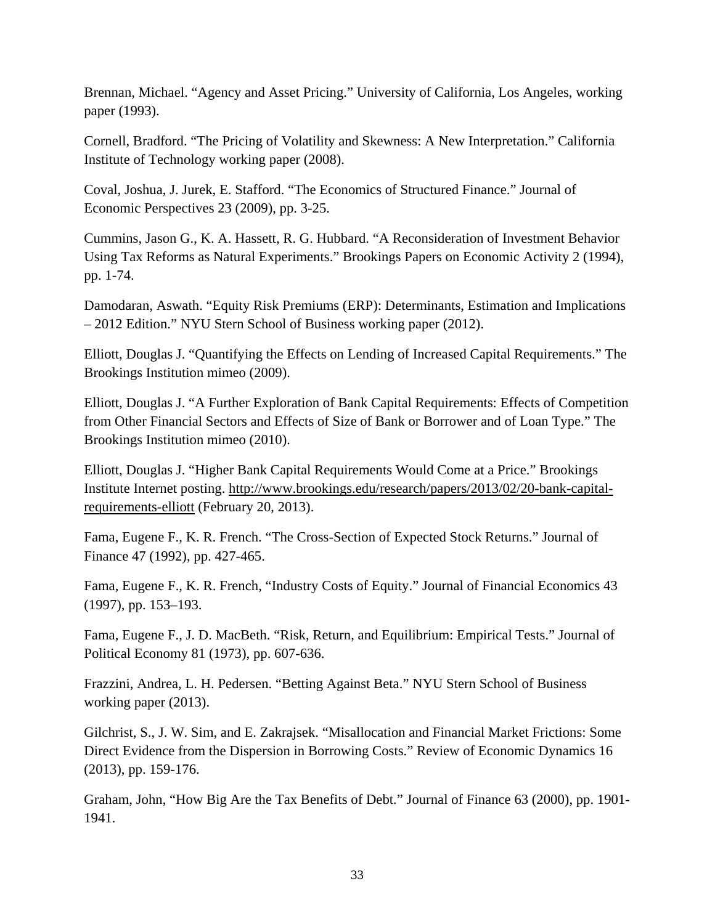Brennan, Michael. "Agency and Asset Pricing." University of California, Los Angeles, working paper (1993).

Cornell, Bradford. "The Pricing of Volatility and Skewness: A New Interpretation." California Institute of Technology working paper (2008).

Coval, Joshua, J. Jurek, E. Stafford. "The Economics of Structured Finance." Journal of Economic Perspectives 23 (2009), pp. 3-25.

Cummins, Jason G., K. A. Hassett, R. G. Hubbard. "A Reconsideration of Investment Behavior Using Tax Reforms as Natural Experiments." Brookings Papers on Economic Activity 2 (1994), pp. 1-74.

Damodaran, Aswath. "Equity Risk Premiums (ERP): Determinants, Estimation and Implications – 2012 Edition." NYU Stern School of Business working paper (2012).

Elliott, Douglas J. "Quantifying the Effects on Lending of Increased Capital Requirements." The Brookings Institution mimeo (2009).

Elliott, Douglas J. "A Further Exploration of Bank Capital Requirements: Effects of Competition from Other Financial Sectors and Effects of Size of Bank or Borrower and of Loan Type." The Brookings Institution mimeo (2010).

Elliott, Douglas J. "Higher Bank Capital Requirements Would Come at a Price." Brookings Institute Internet posting. http://www.brookings.edu/research/papers/2013/02/20-bank-capitalrequirements-elliott (February 20, 2013).

Fama, Eugene F., K. R. French. "The Cross-Section of Expected Stock Returns." Journal of Finance 47 (1992), pp. 427-465.

Fama, Eugene F., K. R. French, "Industry Costs of Equity." Journal of Financial Economics 43 (1997), pp. 153–193.

Fama, Eugene F., J. D. MacBeth. "Risk, Return, and Equilibrium: Empirical Tests." Journal of Political Economy 81 (1973), pp. 607-636.

Frazzini, Andrea, L. H. Pedersen. "Betting Against Beta." NYU Stern School of Business working paper (2013).

Gilchrist, S., J. W. Sim, and E. Zakrajsek. "Misallocation and Financial Market Frictions: Some Direct Evidence from the Dispersion in Borrowing Costs." Review of Economic Dynamics 16 (2013), pp. 159-176.

Graham, John, "How Big Are the Tax Benefits of Debt." Journal of Finance 63 (2000), pp. 1901- 1941.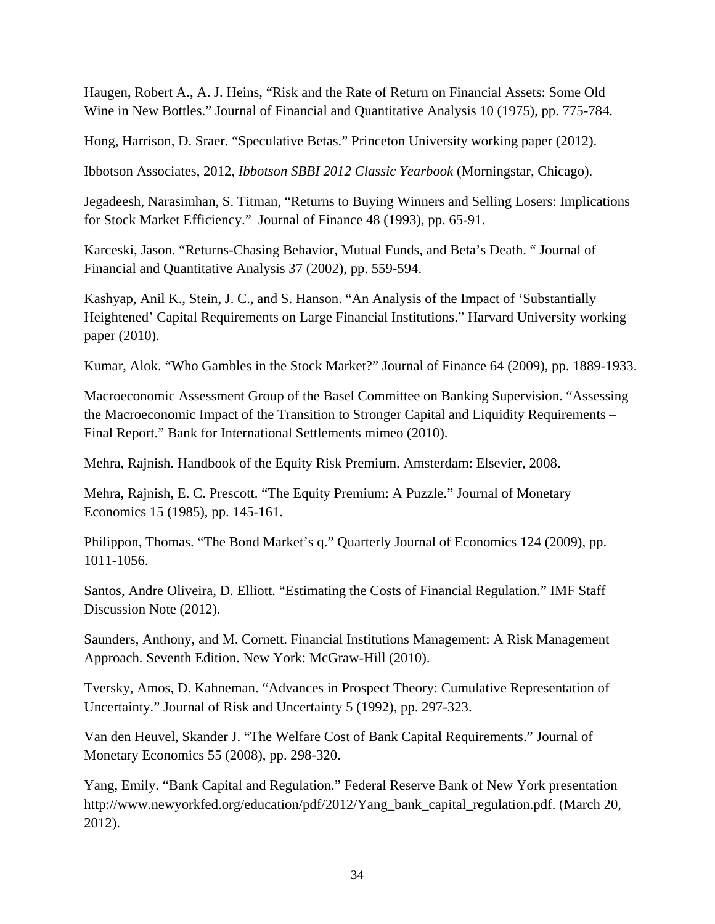Haugen, Robert A., A. J. Heins, "Risk and the Rate of Return on Financial Assets: Some Old Wine in New Bottles." Journal of Financial and Quantitative Analysis 10 (1975), pp. 775-784.

Hong, Harrison, D. Sraer. "Speculative Betas." Princeton University working paper (2012).

Ibbotson Associates, 2012, *Ibbotson SBBI 2012 Classic Yearbook* (Morningstar, Chicago).

Jegadeesh, Narasimhan, S. Titman, "Returns to Buying Winners and Selling Losers: Implications for Stock Market Efficiency." Journal of Finance 48 (1993), pp. 65-91.

Karceski, Jason. "Returns-Chasing Behavior, Mutual Funds, and Beta's Death. " Journal of Financial and Quantitative Analysis 37 (2002), pp. 559-594.

Kashyap, Anil K., Stein, J. C., and S. Hanson. "An Analysis of the Impact of 'Substantially Heightened' Capital Requirements on Large Financial Institutions." Harvard University working paper (2010).

Kumar, Alok. "Who Gambles in the Stock Market?" Journal of Finance 64 (2009), pp. 1889-1933.

Macroeconomic Assessment Group of the Basel Committee on Banking Supervision. "Assessing the Macroeconomic Impact of the Transition to Stronger Capital and Liquidity Requirements – Final Report." Bank for International Settlements mimeo (2010).

Mehra, Rajnish. Handbook of the Equity Risk Premium. Amsterdam: Elsevier, 2008.

Mehra, Rajnish, E. C. Prescott. "The Equity Premium: A Puzzle." Journal of Monetary Economics 15 (1985), pp. 145-161.

Philippon, Thomas. "The Bond Market's q." Quarterly Journal of Economics 124 (2009), pp. 1011-1056.

Santos, Andre Oliveira, D. Elliott. "Estimating the Costs of Financial Regulation." IMF Staff Discussion Note (2012).

Saunders, Anthony, and M. Cornett. Financial Institutions Management: A Risk Management Approach. Seventh Edition. New York: McGraw-Hill (2010).

Tversky, Amos, D. Kahneman. "Advances in Prospect Theory: Cumulative Representation of Uncertainty." Journal of Risk and Uncertainty 5 (1992), pp. 297-323.

Van den Heuvel, Skander J. "The Welfare Cost of Bank Capital Requirements." Journal of Monetary Economics 55 (2008), pp. 298-320.

Yang, Emily. "Bank Capital and Regulation." Federal Reserve Bank of New York presentation http://www.newyorkfed.org/education/pdf/2012/Yang\_bank\_capital\_regulation.pdf. (March 20, 2012).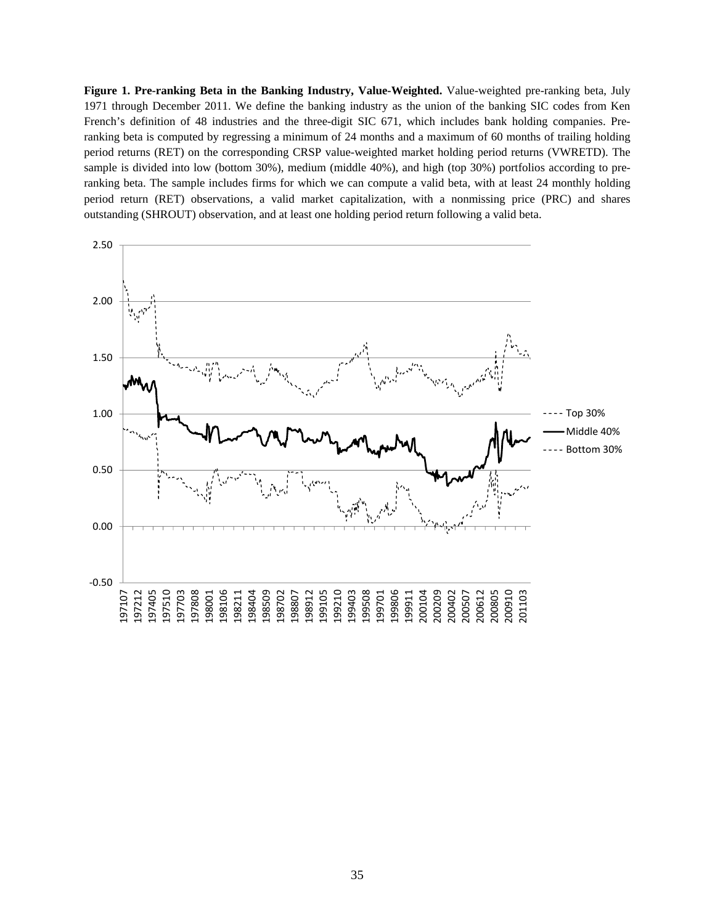**Figure 1. Pre-ranking Beta in the Banking Industry, Value-Weighted.** Value-weighted pre-ranking beta, July 1971 through December 2011. We define the banking industry as the union of the banking SIC codes from Ken French's definition of 48 industries and the three-digit SIC 671, which includes bank holding companies. Preranking beta is computed by regressing a minimum of 24 months and a maximum of 60 months of trailing holding period returns (RET) on the corresponding CRSP value-weighted market holding period returns (VWRETD). The sample is divided into low (bottom 30%), medium (middle 40%), and high (top 30%) portfolios according to preranking beta. The sample includes firms for which we can compute a valid beta, with at least 24 monthly holding period return (RET) observations, a valid market capitalization, with a nonmissing price (PRC) and shares outstanding (SHROUT) observation, and at least one holding period return following a valid beta.

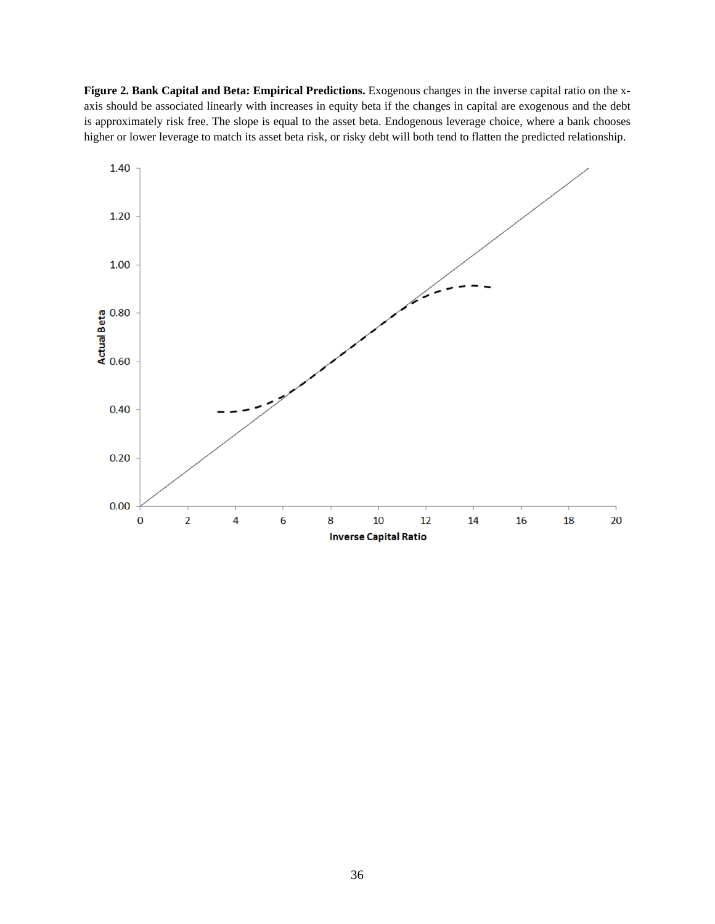**Figure 2. Bank Capital and Beta: Empirical Predictions.** Exogenous changes in the inverse capital ratio on the xaxis should be associated linearly with increases in equity beta if the changes in capital are exogenous and the debt is approximately risk free. The slope is equal to the asset beta. Endogenous leverage choice, where a bank chooses higher or lower leverage to match its asset beta risk, or risky debt will both tend to flatten the predicted relationship.

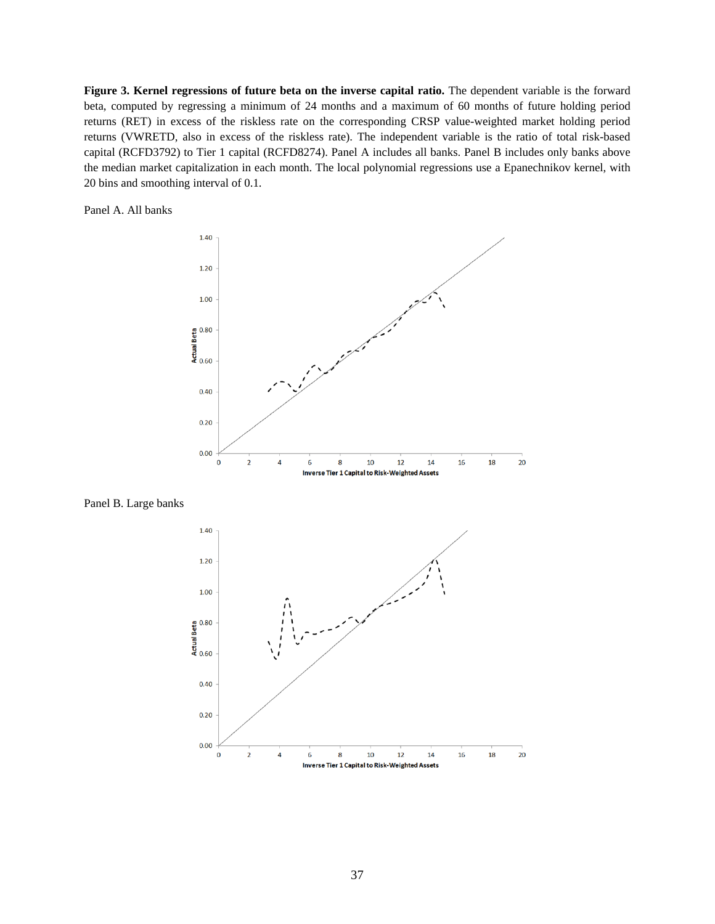**Figure 3. Kernel regressions of future beta on the inverse capital ratio.** The dependent variable is the forward beta, computed by regressing a minimum of 24 months and a maximum of 60 months of future holding period returns (RET) in excess of the riskless rate on the corresponding CRSP value-weighted market holding period returns (VWRETD, also in excess of the riskless rate). The independent variable is the ratio of total risk-based capital (RCFD3792) to Tier 1 capital (RCFD8274). Panel A includes all banks. Panel B includes only banks above the median market capitalization in each month. The local polynomial regressions use a Epanechnikov kernel, with 20 bins and smoothing interval of 0.1.

Panel A. All banks



Panel B. Large banks

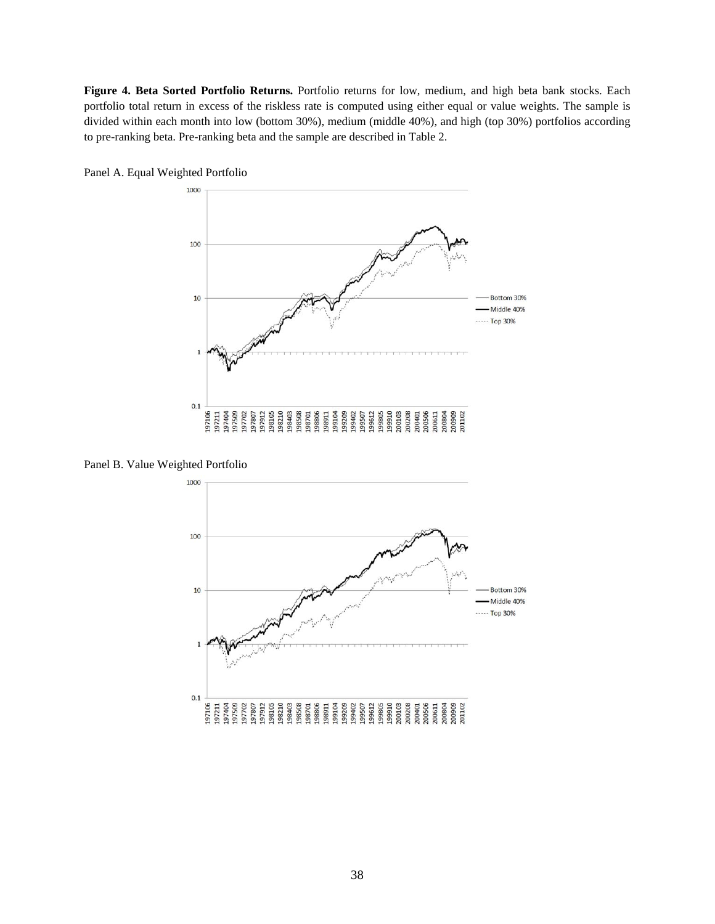**Figure 4. Beta Sorted Portfolio Returns.** Portfolio returns for low, medium, and high beta bank stocks. Each portfolio total return in excess of the riskless rate is computed using either equal or value weights. The sample is divided within each month into low (bottom 30%), medium (middle 40%), and high (top 30%) portfolios according to pre-ranking beta. Pre-ranking beta and the sample are described in Table 2.



Panel A. Equal Weighted Portfolio

Panel B. Value Weighted Portfolio

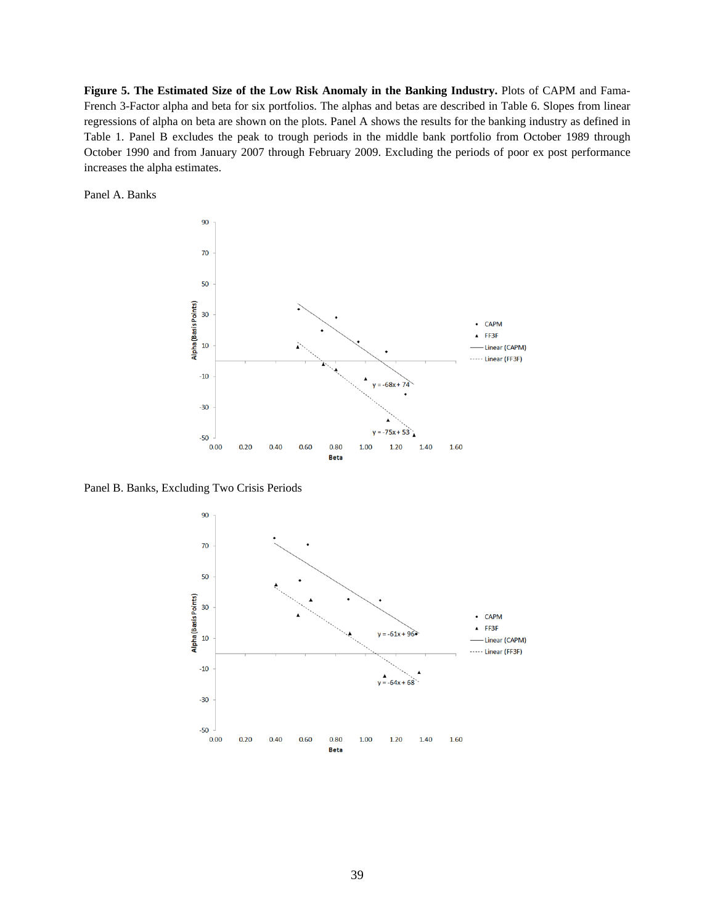**Figure 5. The Estimated Size of the Low Risk Anomaly in the Banking Industry.** Plots of CAPM and Fama-French 3-Factor alpha and beta for six portfolios. The alphas and betas are described in Table 6. Slopes from linear regressions of alpha on beta are shown on the plots. Panel A shows the results for the banking industry as defined in Table 1. Panel B excludes the peak to trough periods in the middle bank portfolio from October 1989 through October 1990 and from January 2007 through February 2009. Excluding the periods of poor ex post performance increases the alpha estimates.

Panel A. Banks



Panel B. Banks, Excluding Two Crisis Periods

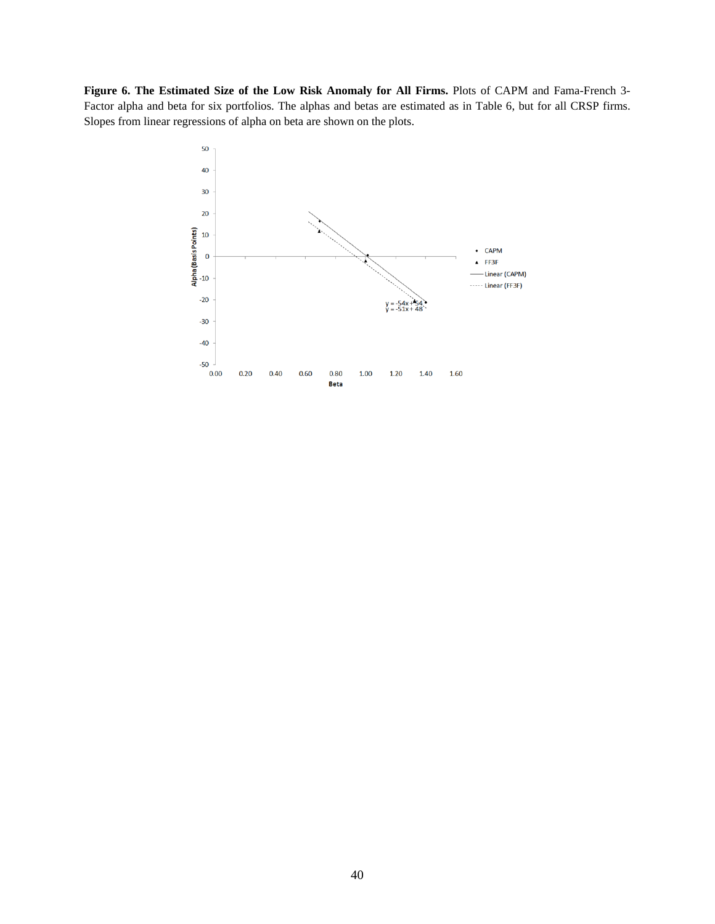**Figure 6. The Estimated Size of the Low Risk Anomaly for All Firms.** Plots of CAPM and Fama-French 3- Factor alpha and beta for six portfolios. The alphas and betas are estimated as in Table 6, but for all CRSP firms. Slopes from linear regressions of alpha on beta are shown on the plots.

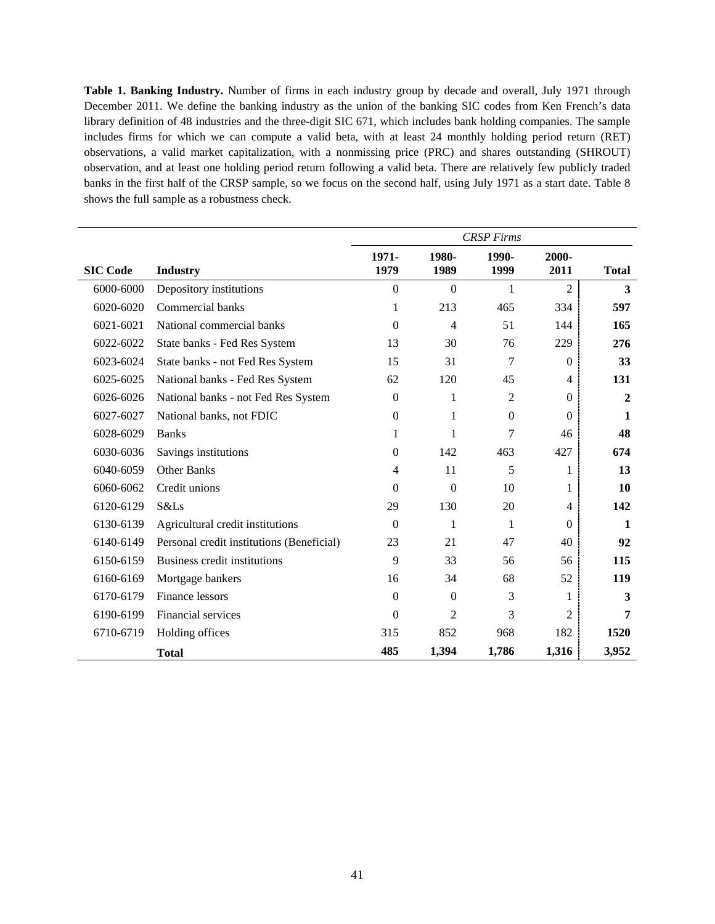**Table 1. Banking Industry.** Number of firms in each industry group by decade and overall, July 1971 through December 2011. We define the banking industry as the union of the banking SIC codes from Ken French's data library definition of 48 industries and the three-digit SIC 671, which includes bank holding companies. The sample includes firms for which we can compute a valid beta, with at least 24 monthly holding period return (RET) observations, a valid market capitalization, with a nonmissing price (PRC) and shares outstanding (SHROUT) observation, and at least one holding period return following a valid beta. There are relatively few publicly traded banks in the first half of the CRSP sample, so we focus on the second half, using July 1971 as a start date. Table 8 shows the full sample as a robustness check.

|                 |                                           | <b>CRSP</b> Firms |                  |                  |                |                |  |  |  |
|-----------------|-------------------------------------------|-------------------|------------------|------------------|----------------|----------------|--|--|--|
| <b>SIC Code</b> | <b>Industry</b>                           | 1971-<br>1979     | 1980-<br>1989    | 1990-<br>1999    | 2000-<br>2011  | <b>Total</b>   |  |  |  |
| 6000-6000       | Depository institutions                   | $\boldsymbol{0}$  | $\Omega$         | 1                | 2              | 3              |  |  |  |
| 6020-6020       | Commercial banks                          | 1                 | 213              | 465              | 334            | 597            |  |  |  |
| 6021-6021       | National commercial banks                 | $\boldsymbol{0}$  | $\overline{4}$   | 51               | 144            | 165            |  |  |  |
| 6022-6022       | State banks - Fed Res System              | 13                | 30               | 76               | 229            | 276            |  |  |  |
| 6023-6024       | State banks - not Fed Res System          | 15                | 31               | 7                | $\overline{0}$ | 33             |  |  |  |
| 6025-6025       | National banks - Fed Res System           | 62                | 120              | 45               | $\overline{4}$ | 131            |  |  |  |
| 6026-6026       | National banks - not Fed Res System       | $\boldsymbol{0}$  | 1                | 2                | $\theta$       | $\overline{2}$ |  |  |  |
| 6027-6027       | National banks, not FDIC                  | $\boldsymbol{0}$  | 1                | $\boldsymbol{0}$ | $\theta$       | 1              |  |  |  |
| 6028-6029       | <b>Banks</b>                              | 1                 | 1                | 7                | 46             | 48             |  |  |  |
| 6030-6036       | Savings institutions                      | $\boldsymbol{0}$  | 142              | 463              | 427            | 674            |  |  |  |
| 6040-6059       | <b>Other Banks</b>                        | $\overline{4}$    | 11               | 5                | 1              | 13             |  |  |  |
| 6060-6062       | Credit unions                             | $\boldsymbol{0}$  | $\boldsymbol{0}$ | 10               | 1              | 10             |  |  |  |
| 6120-6129       | S&Ls                                      | 29                | 130              | 20               | $\overline{4}$ | 142            |  |  |  |
| 6130-6139       | Agricultural credit institutions          | $\theta$          | 1                | 1                | $\theta$       | $\mathbf{1}$   |  |  |  |
| 6140-6149       | Personal credit institutions (Beneficial) | 23                | 21               | 47               | 40             | 92             |  |  |  |
| 6150-6159       | Business credit institutions              | 9                 | 33               | 56               | 56             | 115            |  |  |  |
| 6160-6169       | Mortgage bankers                          | 16                | 34               | 68               | 52             | 119            |  |  |  |
| 6170-6179       | Finance lessors                           | $\boldsymbol{0}$  | $\boldsymbol{0}$ | 3                | 1              | 3              |  |  |  |
| 6190-6199       | Financial services                        | $\boldsymbol{0}$  | 2                | 3                | $\overline{2}$ | 7              |  |  |  |
| 6710-6719       | Holding offices                           | 315               | 852              | 968              | 182            | 1520           |  |  |  |
|                 | <b>Total</b>                              | 485               | 1,394            | 1,786            | 1,316          | 3,952          |  |  |  |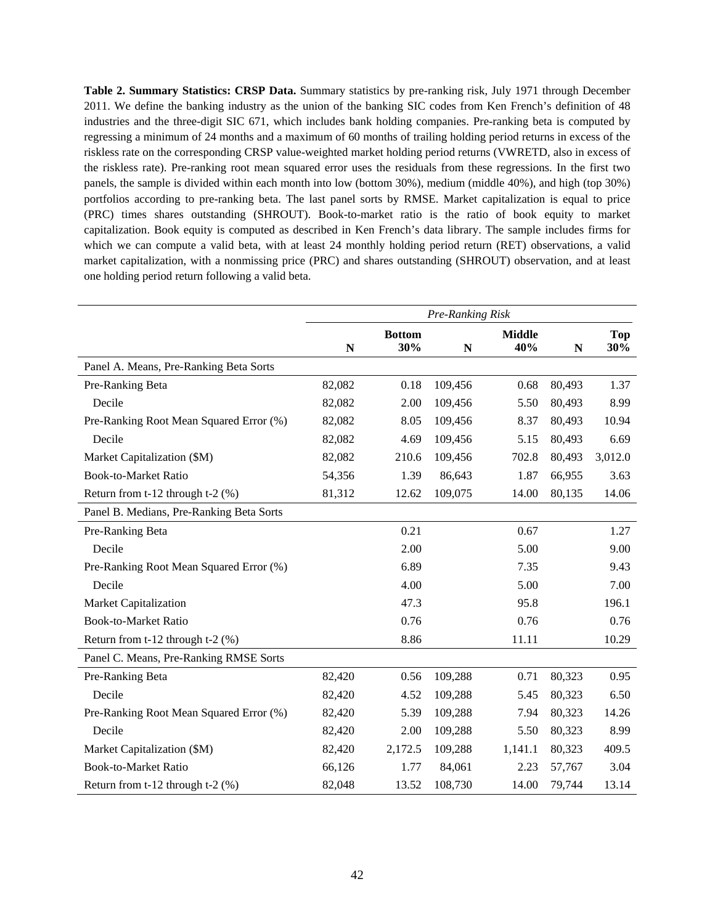**Table 2. Summary Statistics: CRSP Data.** Summary statistics by pre-ranking risk, July 1971 through December 2011. We define the banking industry as the union of the banking SIC codes from Ken French's definition of 48 industries and the three-digit SIC 671, which includes bank holding companies. Pre-ranking beta is computed by regressing a minimum of 24 months and a maximum of 60 months of trailing holding period returns in excess of the riskless rate on the corresponding CRSP value-weighted market holding period returns (VWRETD, also in excess of the riskless rate). Pre-ranking root mean squared error uses the residuals from these regressions. In the first two panels, the sample is divided within each month into low (bottom 30%), medium (middle 40%), and high (top 30%) portfolios according to pre-ranking beta. The last panel sorts by RMSE. Market capitalization is equal to price (PRC) times shares outstanding (SHROUT). Book-to-market ratio is the ratio of book equity to market capitalization. Book equity is computed as described in Ken French's data library. The sample includes firms for which we can compute a valid beta, with at least 24 monthly holding period return (RET) observations, a valid market capitalization, with a nonmissing price (PRC) and shares outstanding (SHROUT) observation, and at least one holding period return following a valid beta.

|                                          |             |                      | Pre-Ranking Risk |                      |             |                   |
|------------------------------------------|-------------|----------------------|------------------|----------------------|-------------|-------------------|
|                                          | $\mathbf N$ | <b>Bottom</b><br>30% | $\mathbf N$      | <b>Middle</b><br>40% | $\mathbf N$ | <b>Top</b><br>30% |
| Panel A. Means, Pre-Ranking Beta Sorts   |             |                      |                  |                      |             |                   |
| Pre-Ranking Beta                         | 82,082      | 0.18                 | 109,456          | 0.68                 | 80,493      | 1.37              |
| Decile                                   | 82,082      | 2.00                 | 109,456          | 5.50                 | 80,493      | 8.99              |
| Pre-Ranking Root Mean Squared Error (%)  | 82,082      | 8.05                 | 109,456          | 8.37                 | 80,493      | 10.94             |
| Decile                                   | 82,082      | 4.69                 | 109,456          | 5.15                 | 80,493      | 6.69              |
| Market Capitalization (\$M)              | 82,082      | 210.6                | 109,456          | 702.8                | 80,493      | 3,012.0           |
| <b>Book-to-Market Ratio</b>              | 54,356      | 1.39                 | 86,643           | 1.87                 | 66,955      | 3.63              |
| Return from t-12 through t-2 (%)         | 81,312      | 12.62                | 109,075          | 14.00                | 80,135      | 14.06             |
| Panel B. Medians, Pre-Ranking Beta Sorts |             |                      |                  |                      |             |                   |
| Pre-Ranking Beta                         |             | 0.21                 |                  | 0.67                 |             | 1.27              |
| Decile                                   |             | 2.00                 |                  | 5.00                 |             | 9.00              |
| Pre-Ranking Root Mean Squared Error (%)  |             | 6.89                 |                  | 7.35                 |             | 9.43              |
| Decile                                   |             | 4.00                 |                  | 5.00                 |             | 7.00              |
| <b>Market Capitalization</b>             |             | 47.3                 |                  | 95.8                 |             | 196.1             |
| <b>Book-to-Market Ratio</b>              |             | 0.76                 |                  | 0.76                 |             | 0.76              |
| Return from t-12 through t-2 (%)         |             | 8.86                 |                  | 11.11                |             | 10.29             |
| Panel C. Means, Pre-Ranking RMSE Sorts   |             |                      |                  |                      |             |                   |
| Pre-Ranking Beta                         | 82,420      | 0.56                 | 109,288          | 0.71                 | 80,323      | 0.95              |
| Decile                                   | 82,420      | 4.52                 | 109,288          | 5.45                 | 80,323      | 6.50              |
| Pre-Ranking Root Mean Squared Error (%)  | 82,420      | 5.39                 | 109,288          | 7.94                 | 80,323      | 14.26             |
| Decile                                   | 82,420      | 2.00                 | 109,288          | 5.50                 | 80,323      | 8.99              |
| Market Capitalization (\$M)              | 82,420      | 2,172.5              | 109,288          | 1,141.1              | 80,323      | 409.5             |
| <b>Book-to-Market Ratio</b>              | 66,126      | 1.77                 | 84,061           | 2.23                 | 57,767      | 3.04              |
| Return from t-12 through t-2 (%)         | 82,048      | 13.52                | 108,730          | 14.00                | 79,744      | 13.14             |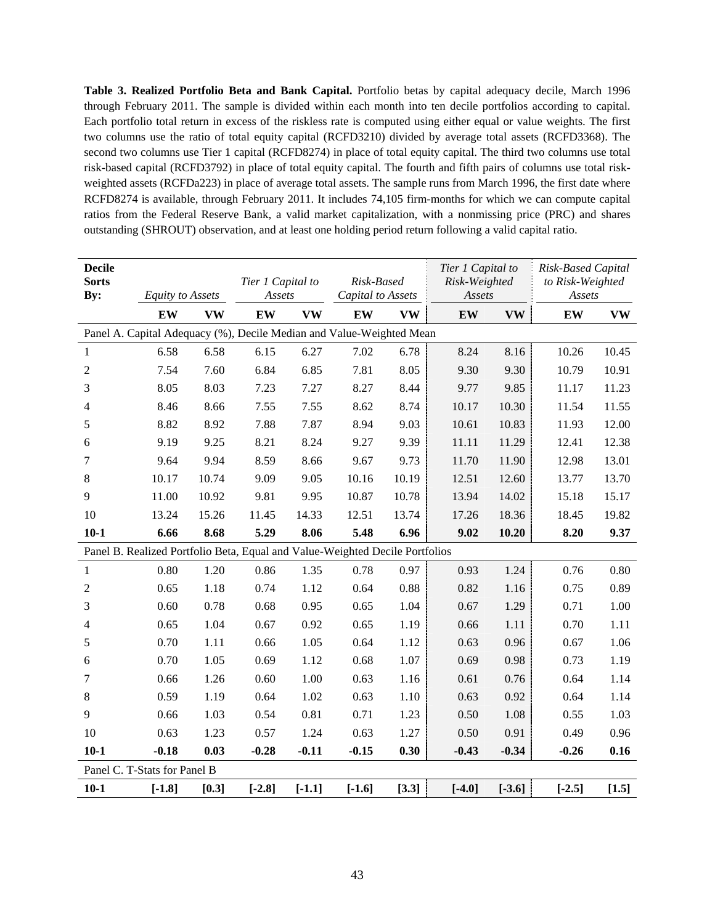**Table 3. Realized Portfolio Beta and Bank Capital.** Portfolio betas by capital adequacy decile, March 1996 through February 2011. The sample is divided within each month into ten decile portfolios according to capital. Each portfolio total return in excess of the riskless rate is computed using either equal or value weights. The first two columns use the ratio of total equity capital (RCFD3210) divided by average total assets (RCFD3368). The second two columns use Tier 1 capital (RCFD8274) in place of total equity capital. The third two columns use total risk-based capital (RCFD3792) in place of total equity capital. The fourth and fifth pairs of columns use total riskweighted assets (RCFDa223) in place of average total assets. The sample runs from March 1996, the first date where RCFD8274 is available, through February 2011. It includes 74,105 firm-months for which we can compute capital ratios from the Federal Reserve Bank, a valid market capitalization, with a nonmissing price (PRC) and shares outstanding (SHROUT) observation, and at least one holding period return following a valid capital ratio.

| <b>Decile</b><br><b>Sorts</b><br>By: | <b>Equity to Assets</b> |           | Tier 1 Capital to<br>Assets |           | Risk-Based<br>Capital to Assets                                              |           | Tier 1 Capital to<br>Risk-Weighted<br>Assets |           | Risk-Based Capital<br>to Risk-Weighted<br>Assets |           |
|--------------------------------------|-------------------------|-----------|-----------------------------|-----------|------------------------------------------------------------------------------|-----------|----------------------------------------------|-----------|--------------------------------------------------|-----------|
|                                      | EW                      | <b>VW</b> | EW                          | <b>VW</b> | EW                                                                           | <b>VW</b> | EW                                           | <b>VW</b> | EW                                               | <b>VW</b> |
|                                      |                         |           |                             |           | Panel A. Capital Adequacy (%), Decile Median and Value-Weighted Mean         |           |                                              |           |                                                  |           |
| 1                                    | 6.58                    | 6.58      | 6.15                        | 6.27      | 7.02                                                                         | 6.78      | 8.24                                         | 8.16      | 10.26                                            | 10.45     |
| $\overline{2}$                       | 7.54                    | 7.60      | 6.84                        | 6.85      | 7.81                                                                         | 8.05      | 9.30                                         | 9.30      | 10.79                                            | 10.91     |
| 3                                    | 8.05                    | 8.03      | 7.23                        | 7.27      | 8.27                                                                         | 8.44      | 9.77                                         | 9.85      | 11.17                                            | 11.23     |
| 4                                    | 8.46                    | 8.66      | 7.55                        | 7.55      | 8.62                                                                         | 8.74      | 10.17                                        | 10.30     | 11.54                                            | 11.55     |
| 5                                    | 8.82                    | 8.92      | 7.88                        | 7.87      | 8.94                                                                         | 9.03      | 10.61                                        | 10.83     | 11.93                                            | 12.00     |
| 6                                    | 9.19                    | 9.25      | 8.21                        | 8.24      | 9.27                                                                         | 9.39      | 11.11                                        | 11.29     | 12.41                                            | 12.38     |
| 7                                    | 9.64                    | 9.94      | 8.59                        | 8.66      | 9.67                                                                         | 9.73      | 11.70                                        | 11.90     | 12.98                                            | 13.01     |
| 8                                    | 10.17                   | 10.74     | 9.09                        | 9.05      | 10.16                                                                        | 10.19     | 12.51                                        | 12.60     | 13.77                                            | 13.70     |
| 9                                    | 11.00                   | 10.92     | 9.81                        | 9.95      | 10.87                                                                        | 10.78     | 13.94                                        | 14.02     | 15.18                                            | 15.17     |
| 10                                   | 13.24                   | 15.26     | 11.45                       | 14.33     | 12.51                                                                        | 13.74     | 17.26                                        | 18.36     | 18.45                                            | 19.82     |
| $10-1$                               | 6.66                    | 8.68      | 5.29                        | 8.06      | 5.48                                                                         | 6.96      | 9.02                                         | 10.20     | 8.20                                             | 9.37      |
|                                      |                         |           |                             |           | Panel B. Realized Portfolio Beta, Equal and Value-Weighted Decile Portfolios |           |                                              |           |                                                  |           |
| 1                                    | 0.80                    | 1.20      | 0.86                        | 1.35      | 0.78                                                                         | 0.97      | 0.93                                         | 1.24      | 0.76                                             | 0.80      |
| $\overline{2}$                       | 0.65                    | 1.18      | 0.74                        | 1.12      | 0.64                                                                         | 0.88      | 0.82                                         | 1.16      | 0.75                                             | 0.89      |
| 3                                    | 0.60                    | 0.78      | 0.68                        | 0.95      | 0.65                                                                         | 1.04      | 0.67                                         | 1.29      | 0.71                                             | 1.00      |
| 4                                    | 0.65                    | 1.04      | 0.67                        | 0.92      | 0.65                                                                         | 1.19      | 0.66                                         | 1.11      | 0.70                                             | 1.11      |
| 5                                    | 0.70                    | 1.11      | 0.66                        | 1.05      | 0.64                                                                         | 1.12      | 0.63                                         | 0.96      | 0.67                                             | 1.06      |
| 6                                    | 0.70                    | 1.05      | 0.69                        | 1.12      | 0.68                                                                         | 1.07      | 0.69                                         | 0.98      | 0.73                                             | 1.19      |
| $\tau$                               | 0.66                    | 1.26      | 0.60                        | 1.00      | 0.63                                                                         | 1.16      | 0.61                                         | 0.76      | 0.64                                             | 1.14      |
| $8\,$                                | 0.59                    | 1.19      | 0.64                        | 1.02      | 0.63                                                                         | 1.10      | 0.63                                         | 0.92      | 0.64                                             | 1.14      |
| 9                                    | 0.66                    | 1.03      | 0.54                        | 0.81      | 0.71                                                                         | 1.23      | 0.50                                         | 1.08      | 0.55                                             | 1.03      |
| 10                                   | 0.63                    | 1.23      | 0.57                        | 1.24      | 0.63                                                                         | 1.27      | 0.50                                         | 0.91      | 0.49                                             | 0.96      |
| $10-1$                               | $-0.18$                 | 0.03      | $-0.28$                     | $-0.11$   | $-0.15$                                                                      | 0.30      | $-0.43$                                      | $-0.34$   | $-0.26$                                          | 0.16      |
| Panel C. T-Stats for Panel B         |                         |           |                             |           |                                                                              |           |                                              |           |                                                  |           |
| $10-1$                               | $[-1.8]$                | [0.3]     | $[-2.8]$                    | $[-1.1]$  | $[-1.6]$                                                                     | [3.3]     | $[-4.0]$                                     | $[-3.6]$  | $[-2.5]$                                         | [1.5]     |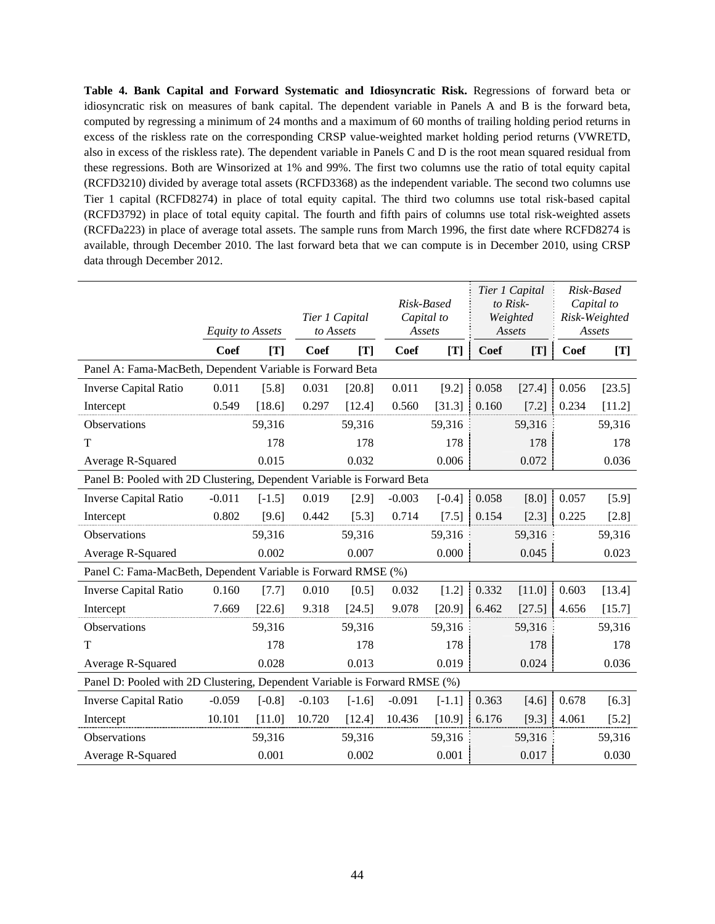**Table 4. Bank Capital and Forward Systematic and Idiosyncratic Risk.** Regressions of forward beta or idiosyncratic risk on measures of bank capital. The dependent variable in Panels A and B is the forward beta, computed by regressing a minimum of 24 months and a maximum of 60 months of trailing holding period returns in excess of the riskless rate on the corresponding CRSP value-weighted market holding period returns (VWRETD, also in excess of the riskless rate). The dependent variable in Panels C and D is the root mean squared residual from these regressions. Both are Winsorized at 1% and 99%. The first two columns use the ratio of total equity capital (RCFD3210) divided by average total assets (RCFD3368) as the independent variable. The second two columns use Tier 1 capital (RCFD8274) in place of total equity capital. The third two columns use total risk-based capital (RCFD3792) in place of total equity capital. The fourth and fifth pairs of columns use total risk-weighted assets (RCFDa223) in place of average total assets. The sample runs from March 1996, the first date where RCFD8274 is available, through December 2010. The last forward beta that we can compute is in December 2010, using CRSP data through December 2012.

|                                                                            | Tier 1 Capital<br>to Assets<br><b>Equity to Assets</b> |          |          |          | Risk-Based<br>Capital to |          | Tier 1 Capital<br>to Risk-<br>Weighted | Risk-Based<br>Capital to<br>Risk-Weighted<br>Assets |       |         |
|----------------------------------------------------------------------------|--------------------------------------------------------|----------|----------|----------|--------------------------|----------|----------------------------------------|-----------------------------------------------------|-------|---------|
|                                                                            |                                                        |          |          |          | Assets                   |          |                                        | Assets                                              |       |         |
| Panel A: Fama-MacBeth, Dependent Variable is Forward Beta                  | Coef                                                   | [T]      | Coef     | [T]      | <b>Coef</b>              | [T]      | Coef                                   | [T]                                                 | Coef  | [T]     |
|                                                                            |                                                        |          |          |          |                          |          |                                        |                                                     |       |         |
| <b>Inverse Capital Ratio</b>                                               | 0.011                                                  | [5.8]    | 0.031    | [20.8]   | 0.011                    | [9.2]    | 0.058                                  | [27.4]                                              | 0.056 | [23.5]  |
| Intercept                                                                  | 0.549                                                  | [18.6]   | 0.297    | [12.4]   | 0.560                    | [31.3]   | 0.160                                  | [7.2]                                               | 0.234 | [11.2]  |
| Observations                                                               |                                                        | 59,316   |          | 59,316   |                          | 59,316   |                                        | 59,316                                              |       | 59,316  |
| T                                                                          |                                                        | 178      |          | 178      |                          | 178      |                                        | 178                                                 |       | 178     |
| Average R-Squared                                                          |                                                        | 0.015    |          | 0.032    |                          | 0.006    |                                        | 0.072                                               |       | 0.036   |
| Panel B: Pooled with 2D Clustering, Dependent Variable is Forward Beta     |                                                        |          |          |          |                          |          |                                        |                                                     |       |         |
| Inverse Capital Ratio                                                      | $-0.011$                                               | $[-1.5]$ | 0.019    | [2.9]    | $-0.003$                 | $[-0.4]$ | 0.058                                  | [8.0]                                               | 0.057 | [5.9]   |
| Intercept                                                                  | 0.802                                                  | [9.6]    | 0.442    | [5.3]    | 0.714                    | $[7.5]$  | 0.154                                  | $[2.3]$                                             | 0.225 | [2.8]   |
| Observations                                                               |                                                        | 59,316   |          | 59,316   |                          | 59,316   |                                        | 59,316                                              |       | 59,316  |
| Average R-Squared                                                          |                                                        | 0.002    |          | 0.007    |                          | 0.000    |                                        | 0.045                                               |       | 0.023   |
| Panel C: Fama-MacBeth, Dependent Variable is Forward RMSE (%)              |                                                        |          |          |          |                          |          |                                        |                                                     |       |         |
| Inverse Capital Ratio                                                      | 0.160                                                  | $[7.7]$  | 0.010    | $[0.5]$  | 0.032                    | $[1.2]$  | 0.332                                  | [11.0]                                              | 0.603 | [13.4]  |
| Intercept                                                                  | 7.669                                                  | [22.6]   | 9.318    | [24.5]   | 9.078                    | [20.9]   | 6.462                                  | [27.5]                                              | 4.656 | [15.7]  |
| Observations                                                               |                                                        | 59,316   |          | 59,316   |                          | 59,316   |                                        | 59,316                                              |       | 59,316  |
| T                                                                          |                                                        | 178      |          | 178      |                          | 178      |                                        | 178                                                 |       | 178     |
| Average R-Squared                                                          |                                                        | 0.028    |          | 0.013    |                          | 0.019    |                                        | 0.024                                               |       | 0.036   |
| Panel D: Pooled with 2D Clustering, Dependent Variable is Forward RMSE (%) |                                                        |          |          |          |                          |          |                                        |                                                     |       |         |
| <b>Inverse Capital Ratio</b>                                               | $-0.059$                                               | $[-0.8]$ | $-0.103$ | $[-1.6]$ | $-0.091$                 | $[-1.1]$ | 0.363                                  | [4.6]                                               | 0.678 | [6.3]   |
| Intercept                                                                  | 10.101                                                 | [11.0]   | 10.720   | [12.4]   | 10.436                   | [10.9]   | 6.176                                  | [9.3]                                               | 4.061 | $[5.2]$ |
| Observations                                                               |                                                        | 59,316   |          | 59,316   |                          | 59,316   |                                        | 59,316                                              |       | 59,316  |
| Average R-Squared                                                          |                                                        | 0.001    |          | 0.002    |                          | 0.001    |                                        | 0.017                                               |       | 0.030   |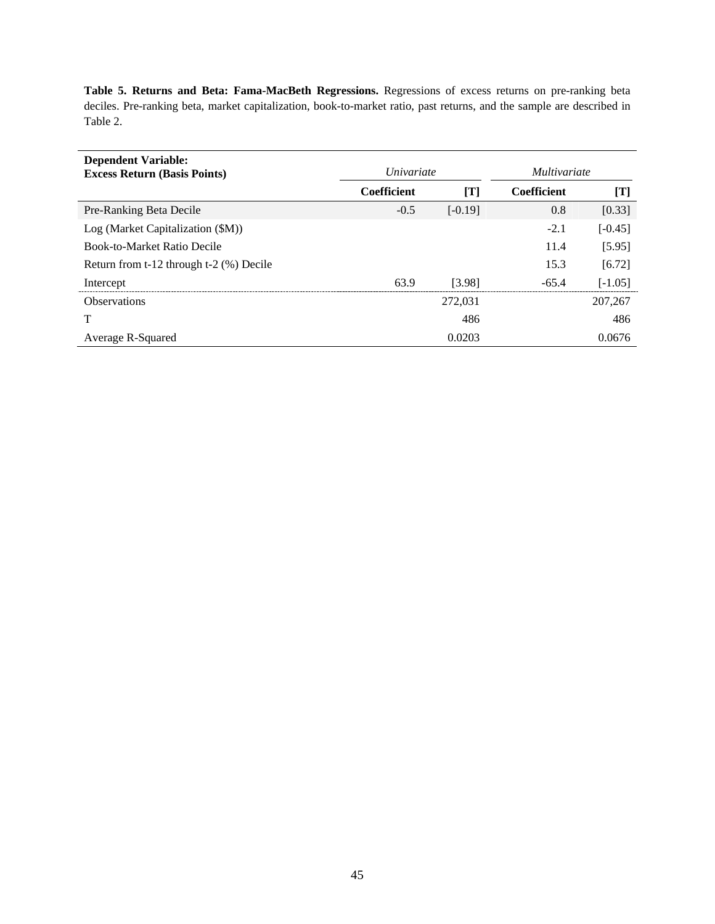**Table 5. Returns and Beta: Fama-MacBeth Regressions.** Regressions of excess returns on pre-ranking beta deciles. Pre-ranking beta, market capitalization, book-to-market ratio, past returns, and the sample are described in Table 2.

| <b>Dependent Variable:</b><br><b>Excess Return (Basis Points)</b> | <i>Univariate</i>  |           | <i>Multivariate</i> |           |  |
|-------------------------------------------------------------------|--------------------|-----------|---------------------|-----------|--|
|                                                                   | <b>Coefficient</b> | [T]       | <b>Coefficient</b>  | [T]       |  |
| Pre-Ranking Beta Decile                                           | $-0.5$             | $[-0.19]$ | 0.8                 | [0.33]    |  |
| Log (Market Capitalization (\$M))                                 |                    |           | $-2.1$              | $[-0.45]$ |  |
| <b>Book-to-Market Ratio Decile</b>                                |                    |           | 11.4                | [5.95]    |  |
| Return from t-12 through t-2 (%) Decile                           |                    |           | 15.3                | [6.72]    |  |
| Intercept                                                         | 63.9               | [3.98]    | $-65.4$             | $[-1.05]$ |  |
| <b>Observations</b>                                               |                    | 272,031   |                     | 207,267   |  |
| Т                                                                 |                    | 486       |                     | 486       |  |
| Average R-Squared                                                 |                    | 0.0203    |                     | 0.0676    |  |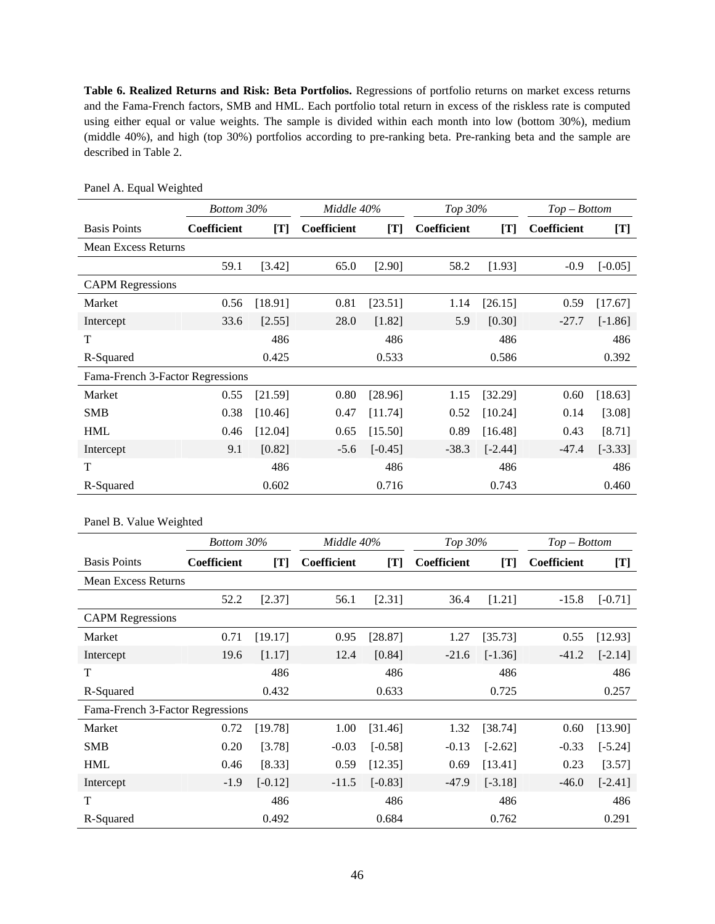**Table 6. Realized Returns and Risk: Beta Portfolios.** Regressions of portfolio returns on market excess returns and the Fama-French factors, SMB and HML. Each portfolio total return in excess of the riskless rate is computed using either equal or value weights. The sample is divided within each month into low (bottom 30%), medium (middle 40%), and high (top 30%) portfolios according to pre-ranking beta. Pre-ranking beta and the sample are described in Table 2.

|                                  | Bottom 30%         |         | Middle 40%  |           | Top 30%     |           | $Top-Bottom$ |           |
|----------------------------------|--------------------|---------|-------------|-----------|-------------|-----------|--------------|-----------|
| <b>Basis Points</b>              | <b>Coefficient</b> | [T]     | Coefficient | [T]       | Coefficient | [T]       | Coefficient  | [T]       |
| <b>Mean Excess Returns</b>       |                    |         |             |           |             |           |              |           |
|                                  | 59.1               | [3.42]  | 65.0        | [2.90]    | 58.2        | [1.93]    | $-0.9$       | $[-0.05]$ |
| <b>CAPM Regressions</b>          |                    |         |             |           |             |           |              |           |
| Market                           | 0.56               | [18.91] | 0.81        | [23.51]   | 1.14        | [26.15]   | 0.59         | [17.67]   |
| Intercept                        | 33.6               | [2.55]  | 28.0        | [1.82]    | 5.9         | [0.30]    | $-27.7$      | $[-1.86]$ |
| T                                |                    | 486     |             | 486       |             | 486       |              | 486       |
| R-Squared                        |                    | 0.425   |             | 0.533     |             | 0.586     |              | 0.392     |
| Fama-French 3-Factor Regressions |                    |         |             |           |             |           |              |           |
| Market                           | 0.55               | [21.59] | 0.80        | [28.96]   | 1.15        | [32.29]   | 0.60         | [18.63]   |
| <b>SMB</b>                       | 0.38               | [10.46] | 0.47        | [11.74]   | 0.52        | [10.24]   | 0.14         | [3.08]    |
| <b>HML</b>                       | 0.46               | [12.04] | 0.65        | [15.50]   | 0.89        | [16.48]   | 0.43         | [8.71]    |
| Intercept                        | 9.1                | [0.82]  | $-5.6$      | $[-0.45]$ | $-38.3$     | $[-2.44]$ | $-47.4$      | $[-3.33]$ |
| T                                |                    | 486     |             | 486       |             | 486       |              | 486       |
| R-Squared                        |                    | 0.602   |             | 0.716     |             | 0.743     |              | 0.460     |

Panel A. Equal Weighted

Panel B. Value Weighted

|                                  | Bottom 30%         |           | Middle 40%  |           | Top 30%     |           | $Top-Bottom$ |           |
|----------------------------------|--------------------|-----------|-------------|-----------|-------------|-----------|--------------|-----------|
| <b>Basis Points</b>              | <b>Coefficient</b> | [T]       | Coefficient | [T]       | Coefficient | [T]       | Coefficient  | [T]       |
| Mean Excess Returns              |                    |           |             |           |             |           |              |           |
|                                  | 52.2               | [2.37]    | 56.1        | [2.31]    | 36.4        | [1.21]    | $-15.8$      | $[-0.71]$ |
| <b>CAPM</b> Regressions          |                    |           |             |           |             |           |              |           |
| Market                           | 0.71               | [19.17]   | 0.95        | [28.87]   | 1.27        | [35.73]   | 0.55         | [12.93]   |
| Intercept                        | 19.6               | [1.17]    | 12.4        | [0.84]    | $-21.6$     | $[-1.36]$ | $-41.2$      | $[-2.14]$ |
| T                                |                    | 486       |             | 486       |             | 486       |              | 486       |
| R-Squared                        |                    | 0.432     |             | 0.633     |             | 0.725     |              | 0.257     |
| Fama-French 3-Factor Regressions |                    |           |             |           |             |           |              |           |
| Market                           | 0.72               | [19.78]   | 1.00        | [31.46]   | 1.32        | [38.74]   | 0.60         | [13.90]   |
| <b>SMB</b>                       | 0.20               | [3.78]    | $-0.03$     | $[-0.58]$ | $-0.13$     | $[-2.62]$ | $-0.33$      | $[-5.24]$ |
| <b>HML</b>                       | 0.46               | [8.33]    | 0.59        | [12.35]   | 0.69        | [13.41]   | 0.23         | [3.57]    |
| Intercept                        | $-1.9$             | $[-0.12]$ | $-11.5$     | $[-0.83]$ | $-47.9$     | $[-3.18]$ | $-46.0$      | $[-2.41]$ |
| T                                |                    | 486       |             | 486       |             | 486       |              | 486       |
| R-Squared                        |                    | 0.492     |             | 0.684     |             | 0.762     |              | 0.291     |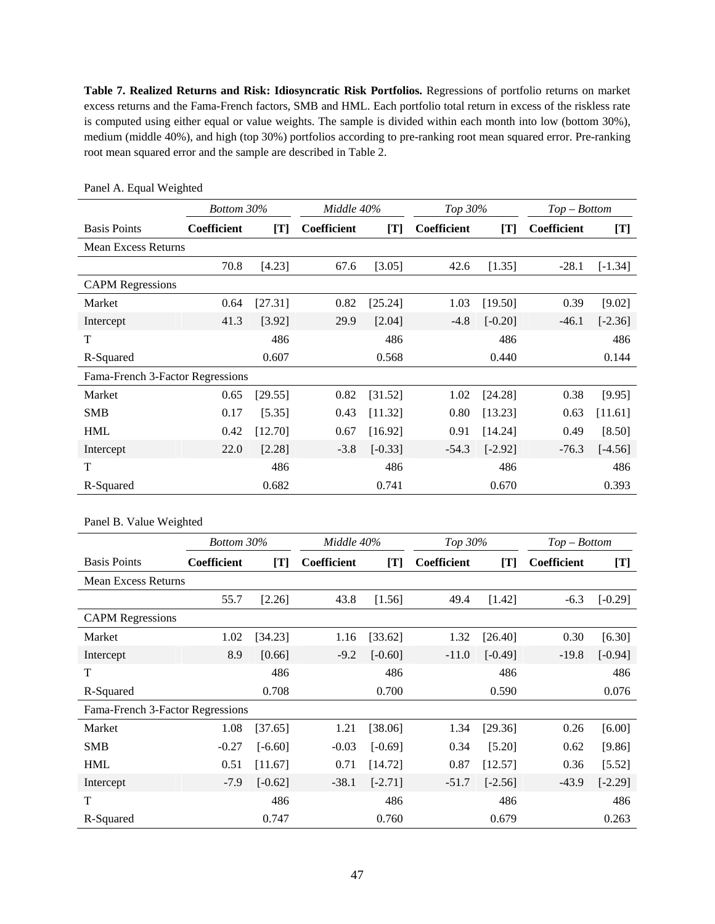**Table 7. Realized Returns and Risk: Idiosyncratic Risk Portfolios.** Regressions of portfolio returns on market excess returns and the Fama-French factors, SMB and HML. Each portfolio total return in excess of the riskless rate is computed using either equal or value weights. The sample is divided within each month into low (bottom 30%), medium (middle 40%), and high (top 30%) portfolios according to pre-ranking root mean squared error. Pre-ranking root mean squared error and the sample are described in Table 2.

|                                  | Bottom 30%         |         | Middle 40%         |           | Top 30%     |           | $Top-Bottom$       |           |
|----------------------------------|--------------------|---------|--------------------|-----------|-------------|-----------|--------------------|-----------|
| <b>Basis Points</b>              | <b>Coefficient</b> | [T]     | <b>Coefficient</b> | [T]       | Coefficient | [T]       | <b>Coefficient</b> | [T]       |
| <b>Mean Excess Returns</b>       |                    |         |                    |           |             |           |                    |           |
|                                  | 70.8               | [4.23]  | 67.6               | [3.05]    | 42.6        | [1.35]    | $-28.1$            | $[-1.34]$ |
| <b>CAPM</b> Regressions          |                    |         |                    |           |             |           |                    |           |
| Market                           | 0.64               | [27.31] | 0.82               | [25.24]   | 1.03        | [19.50]   | 0.39               | [9.02]    |
| Intercept                        | 41.3               | [3.92]  | 29.9               | [2.04]    | $-4.8$      | $[-0.20]$ | $-46.1$            | $[-2.36]$ |
| T                                |                    | 486     |                    | 486       |             | 486       |                    | 486       |
| R-Squared                        |                    | 0.607   |                    | 0.568     |             | 0.440     |                    | 0.144     |
| Fama-French 3-Factor Regressions |                    |         |                    |           |             |           |                    |           |
| Market                           | 0.65               | [29.55] | 0.82               | [31.52]   | 1.02        | [24.28]   | 0.38               | [9.95]    |
| <b>SMB</b>                       | 0.17               | [5.35]  | 0.43               | [11.32]   | 0.80        | [13.23]   | 0.63               | [11.61]   |
| <b>HML</b>                       | 0.42               | [12.70] | 0.67               | [16.92]   | 0.91        | [14.24]   | 0.49               | [8.50]    |
| Intercept                        | 22.0               | [2.28]  | $-3.8$             | $[-0.33]$ | $-54.3$     | $[-2.92]$ | $-76.3$            | $[-4.56]$ |
| T                                |                    | 486     |                    | 486       |             | 486       |                    | 486       |
| R-Squared                        |                    | 0.682   |                    | 0.741     |             | 0.670     |                    | 0.393     |

Panel A. Equal Weighted

Panel B. Value Weighted

|                                  | Bottom 30%  |           | Middle 40%  |           | Top 30%     |           | $Top-Bottom$ |           |
|----------------------------------|-------------|-----------|-------------|-----------|-------------|-----------|--------------|-----------|
| <b>Basis Points</b>              | Coefficient | [T]       | Coefficient | [T]       | Coefficient | [T]       | Coefficient  | [T]       |
| <b>Mean Excess Returns</b>       |             |           |             |           |             |           |              |           |
|                                  | 55.7        | $[2.26]$  | 43.8        | [1.56]    | 49.4        | [1.42]    | $-6.3$       | $[-0.29]$ |
| <b>CAPM Regressions</b>          |             |           |             |           |             |           |              |           |
| Market                           | 1.02        | [34.23]   | 1.16        | [33.62]   | 1.32        | [26.40]   | 0.30         | [6.30]    |
| Intercept                        | 8.9         | [0.66]    | $-9.2$      | $[-0.60]$ | $-11.0$     | $[-0.49]$ | $-19.8$      | $[-0.94]$ |
| T                                |             | 486       |             | 486       |             | 486       |              | 486       |
| R-Squared                        |             | 0.708     |             | 0.700     |             | 0.590     |              | 0.076     |
| Fama-French 3-Factor Regressions |             |           |             |           |             |           |              |           |
| Market                           | 1.08        | [37.65]   | 1.21        | [38.06]   | 1.34        | [29.36]   | 0.26         | [6.00]    |
| <b>SMB</b>                       | $-0.27$     | $[-6.60]$ | $-0.03$     | $[-0.69]$ | 0.34        | [5.20]    | 0.62         | [9.86]    |
| <b>HML</b>                       | 0.51        | [11.67]   | 0.71        | [14.72]   | 0.87        | [12.57]   | 0.36         | [5.52]    |
| Intercept                        | $-7.9$      | $[-0.62]$ | $-38.1$     | $[-2.71]$ | $-51.7$     | $[-2.56]$ | $-43.9$      | $[-2.29]$ |
| T                                |             | 486       |             | 486       |             | 486       |              | 486       |
| R-Squared                        |             | 0.747     |             | 0.760     |             | 0.679     |              | 0.263     |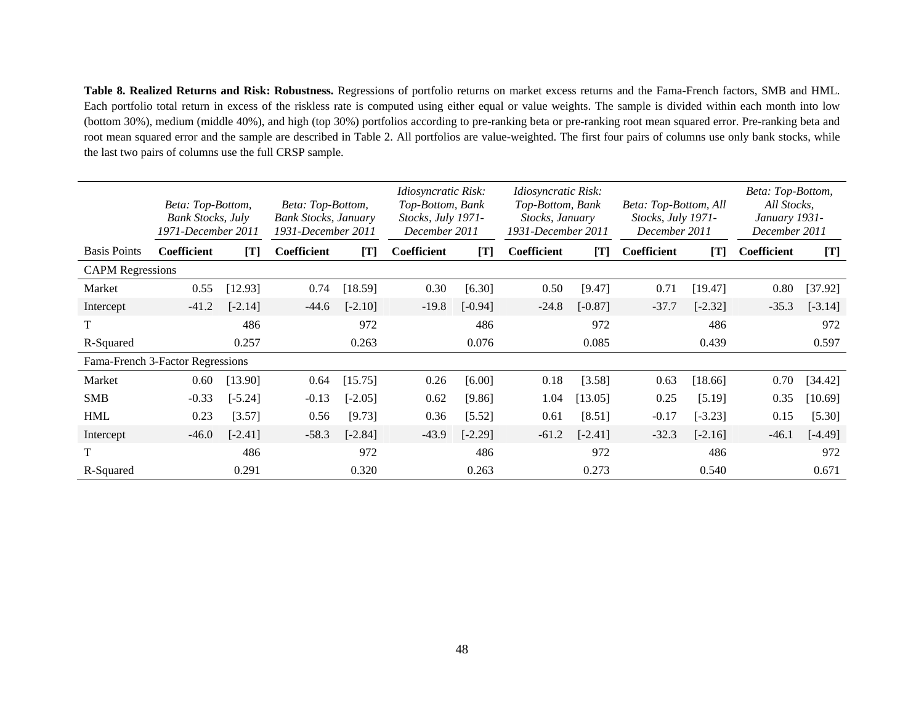**Table 8. Realized Returns and Risk: Robustness.** Regressions of portfolio returns on market excess returns and the Fama-French factors, SMB and HML. Each portfolio total return in excess of the riskless rate is computed using either equal or value weights. The sample is divided within each month into low (bottom 30%), medium (middle 40%), and high (top 30%) portfolios according to pre-ranking beta or pre-ranking root mean squared error. Pre-ranking beta and root mean squared error and the sample are described in Table 2. All portfolios are value-weighted. The first four pairs of columns use only bank stocks, while the last two pairs of columns use the full CRSP sample.

|                         | Beta: Top-Bottom,<br><b>Bank Stocks, July</b><br>1971-December 2011 |           | Beta: Top-Bottom,<br><b>Bank Stocks, January</b><br>1931-December 2011 |           | <i>Idiosyncratic Risk:</i><br>Top-Bottom, Bank<br>Stocks, July 1971-<br>December 2011 |           | <i>Idiosyncratic Risk:</i><br>Top-Bottom, Bank<br>Stocks, January<br>1931-December 2011 |           | Beta: Top-Bottom, All<br>Stocks, July 1971-<br>December 2011 |           | Beta: Top-Bottom,<br>All Stocks,<br>January 1931-<br>December 2011 |           |
|-------------------------|---------------------------------------------------------------------|-----------|------------------------------------------------------------------------|-----------|---------------------------------------------------------------------------------------|-----------|-----------------------------------------------------------------------------------------|-----------|--------------------------------------------------------------|-----------|--------------------------------------------------------------------|-----------|
| <b>Basis Points</b>     | Coefficient                                                         | [T]       | <b>Coefficient</b>                                                     | [T]       | <b>Coefficient</b>                                                                    | [T]       | <b>Coefficient</b>                                                                      | [T]       | Coefficient                                                  | [T]       | Coefficient                                                        | [T]       |
| <b>CAPM Regressions</b> |                                                                     |           |                                                                        |           |                                                                                       |           |                                                                                         |           |                                                              |           |                                                                    |           |
| Market                  | 0.55                                                                | [12.93]   | 0.74                                                                   | [18.59]   | 0.30                                                                                  | [6.30]    | 0.50                                                                                    | [9.47]    | 0.71                                                         | [19.47]   | 0.80                                                               | [37.92]   |
| Intercept               | $-41.2$                                                             | $[-2.14]$ | $-44.6$                                                                | $[-2.10]$ | $-19.8$                                                                               | $[-0.94]$ | $-24.8$                                                                                 | $[-0.87]$ | $-37.7$                                                      | $[-2.32]$ | $-35.3$                                                            | $[-3.14]$ |
| T                       |                                                                     | 486       |                                                                        | 972       |                                                                                       | 486       |                                                                                         | 972       |                                                              | 486       |                                                                    | 972       |
| R-Squared               |                                                                     | 0.257     |                                                                        | 0.263     |                                                                                       | 0.076     |                                                                                         | 0.085     |                                                              | 0.439     |                                                                    | 0.597     |
|                         | Fama-French 3-Factor Regressions                                    |           |                                                                        |           |                                                                                       |           |                                                                                         |           |                                                              |           |                                                                    |           |
| Market                  | 0.60                                                                | [13.90]   | 0.64                                                                   | [15.75]   | 0.26                                                                                  | [6.00]    | 0.18                                                                                    | [3.58]    | 0.63                                                         | [18.66]   | 0.70                                                               | [34.42]   |
| <b>SMB</b>              | $-0.33$                                                             | $[-5.24]$ | $-0.13$                                                                | $[-2.05]$ | 0.62                                                                                  | [9.86]    | 1.04                                                                                    | [13.05]   | 0.25                                                         | [5.19]    | 0.35                                                               | [10.69]   |
| <b>HML</b>              | 0.23                                                                | [3.57]    | 0.56                                                                   | [9.73]    | 0.36                                                                                  | $[5.52]$  | 0.61                                                                                    | [8.51]    | $-0.17$                                                      | $[-3.23]$ | 0.15                                                               | [5.30]    |
| Intercept               | $-46.0$                                                             | $[-2.41]$ | $-58.3$                                                                | $[-2.84]$ | $-43.9$                                                                               | $[-2.29]$ | $-61.2$                                                                                 | $[-2.41]$ | $-32.3$                                                      | $[-2.16]$ | $-46.1$                                                            | $[-4.49]$ |
| T                       |                                                                     | 486       |                                                                        | 972       |                                                                                       | 486       |                                                                                         | 972       |                                                              | 486       |                                                                    | 972       |
| R-Squared               |                                                                     | 0.291     |                                                                        | 0.320     |                                                                                       | 0.263     |                                                                                         | 0.273     |                                                              | 0.540     |                                                                    | 0.671     |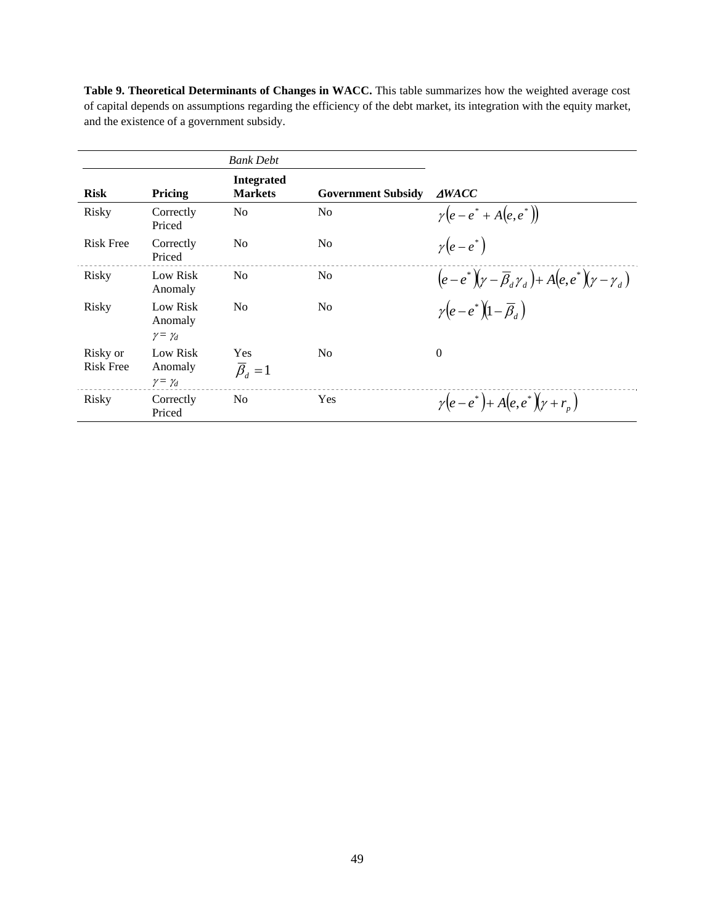**Table 9. Theoretical Determinants of Changes in WACC.** This table summarizes how the weighted average cost of capital depends on assumptions regarding the efficiency of the debt market, its integration with the equity market, and the existence of a government subsidy.

|                              |                                            | <b>Bank Debt</b>                       |                           |                                                                                 |
|------------------------------|--------------------------------------------|----------------------------------------|---------------------------|---------------------------------------------------------------------------------|
| <b>Risk</b>                  | Pricing                                    | <b>Integrated</b><br><b>Markets</b>    | <b>Government Subsidy</b> | <b>AWACC</b>                                                                    |
| Risky                        | Correctly<br>Priced                        | N <sub>0</sub>                         | N <sub>0</sub>            | $\gamma(e-e^*+A(e,e^*))$                                                        |
| <b>Risk Free</b>             | Correctly<br>Priced                        | N <sub>0</sub>                         | N <sub>0</sub>            | $\gamma(e-e^*)$                                                                 |
| Risky                        | Low Risk<br>Anomaly                        | N <sub>0</sub>                         | N <sub>0</sub>            | $(e-e^*) (\gamma - \overline{\beta}_d \gamma_d) + A(e,e^*) (\gamma - \gamma_d)$ |
| Risky                        | Low Risk<br>Anomaly<br>$\gamma = \gamma_d$ | N <sub>o</sub>                         | N <sub>0</sub>            | $\gamma(e-e^*)$ $(1-\overline{\beta}_a)$                                        |
| Risky or<br><b>Risk Free</b> | Low Risk<br>Anomaly<br>$\gamma = \gamma_d$ | <b>Yes</b><br>$\overline{\beta}_d = 1$ | N <sub>0</sub>            | $\overline{0}$                                                                  |
| Risky                        | Correctly<br>Priced                        | N <sub>o</sub>                         | Yes                       | $\gamma(e-e^*) + A(e,e^*) (\gamma + r_n)$                                       |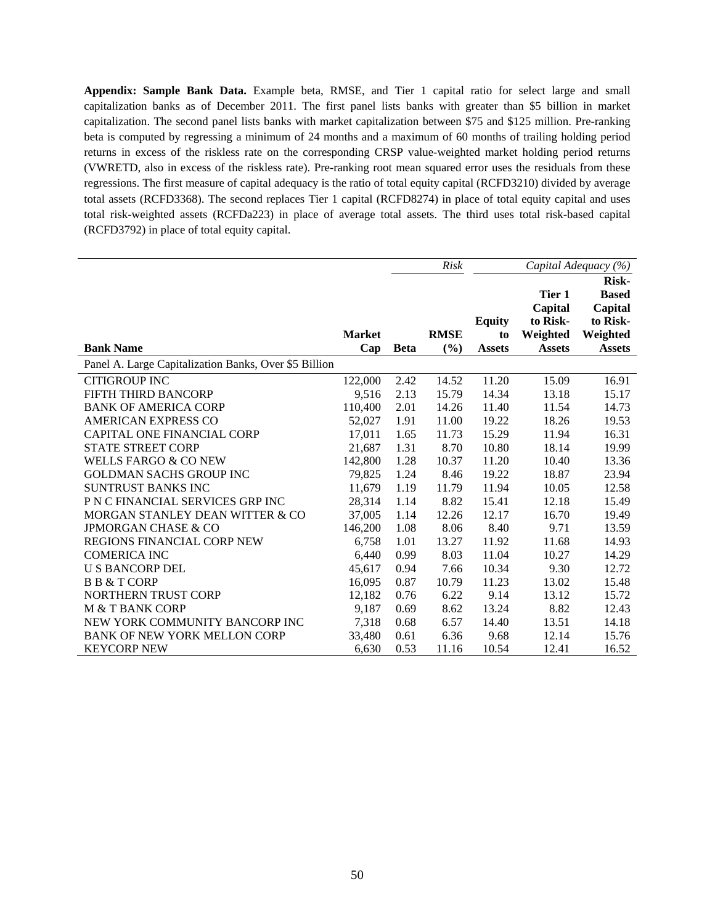**Appendix: Sample Bank Data.** Example beta, RMSE, and Tier 1 capital ratio for select large and small capitalization banks as of December 2011. The first panel lists banks with greater than \$5 billion in market capitalization. The second panel lists banks with market capitalization between \$75 and \$125 million. Pre-ranking beta is computed by regressing a minimum of 24 months and a maximum of 60 months of trailing holding period returns in excess of the riskless rate on the corresponding CRSP value-weighted market holding period returns (VWRETD, also in excess of the riskless rate). Pre-ranking root mean squared error uses the residuals from these regressions. The first measure of capital adequacy is the ratio of total equity capital (RCFD3210) divided by average total assets (RCFD3368). The second replaces Tier 1 capital (RCFD8274) in place of total equity capital and uses total risk-weighted assets (RCFDa223) in place of average total assets. The third uses total risk-based capital (RCFD3792) in place of total equity capital.

|                                                       |               |             | <b>Risk</b> |               |               | Capital Adequacy (%) |
|-------------------------------------------------------|---------------|-------------|-------------|---------------|---------------|----------------------|
|                                                       |               |             |             |               |               | <b>Risk-</b>         |
|                                                       |               |             |             |               | Tier 1        | <b>Based</b>         |
|                                                       |               |             |             |               | Capital       | Capital              |
|                                                       |               |             |             | <b>Equity</b> | to Risk-      | to Risk-             |
|                                                       | <b>Market</b> |             | <b>RMSE</b> | to            | Weighted      | Weighted             |
| <b>Bank Name</b>                                      | Cap           | <b>Beta</b> | (%)         | <b>Assets</b> | <b>Assets</b> | <b>Assets</b>        |
| Panel A. Large Capitalization Banks, Over \$5 Billion |               |             |             |               |               |                      |
| <b>CITIGROUP INC</b>                                  | 122,000       | 2.42        | 14.52       | 11.20         | 15.09         | 16.91                |
| FIFTH THIRD BANCORP                                   | 9,516         | 2.13        | 15.79       | 14.34         | 13.18         | 15.17                |
| <b>BANK OF AMERICA CORP</b>                           | 110,400       | 2.01        | 14.26       | 11.40         | 11.54         | 14.73                |
| <b>AMERICAN EXPRESS CO</b>                            | 52,027        | 1.91        | 11.00       | 19.22         | 18.26         | 19.53                |
| <b>CAPITAL ONE FINANCIAL CORP</b>                     | 17,011        | 1.65        | 11.73       | 15.29         | 11.94         | 16.31                |
| <b>STATE STREET CORP</b>                              | 21,687        | 1.31        | 8.70        | 10.80         | 18.14         | 19.99                |
| <b>WELLS FARGO &amp; CO NEW</b>                       | 142,800       | 1.28        | 10.37       | 11.20         | 10.40         | 13.36                |
| <b>GOLDMAN SACHS GROUP INC</b>                        | 79,825        | 1.24        | 8.46        | 19.22         | 18.87         | 23.94                |
| <b>SUNTRUST BANKS INC</b>                             | 11,679        | 1.19        | 11.79       | 11.94         | 10.05         | 12.58                |
| P N C FINANCIAL SERVICES GRP INC                      | 28,314        | 1.14        | 8.82        | 15.41         | 12.18         | 15.49                |
| MORGAN STANLEY DEAN WITTER & CO                       | 37,005        | 1.14        | 12.26       | 12.17         | 16.70         | 19.49                |
| <b>JPMORGAN CHASE &amp; CO</b>                        | 146,200       | 1.08        | 8.06        | 8.40          | 9.71          | 13.59                |
| REGIONS FINANCIAL CORP NEW                            | 6,758         | 1.01        | 13.27       | 11.92         | 11.68         | 14.93                |
| <b>COMERICA INC</b>                                   | 6,440         | 0.99        | 8.03        | 11.04         | 10.27         | 14.29                |
| <b>U S BANCORP DEL</b>                                | 45,617        | 0.94        | 7.66        | 10.34         | 9.30          | 12.72                |
| <b>B B &amp; T CORP</b>                               | 16,095        | 0.87        | 10.79       | 11.23         | 13.02         | 15.48                |
| NORTHERN TRUST CORP                                   | 12.182        | 0.76        | 6.22        | 9.14          | 13.12         | 15.72                |
| <b>M &amp; T BANK CORP</b>                            | 9,187         | 0.69        | 8.62        | 13.24         | 8.82          | 12.43                |
| NEW YORK COMMUNITY BANCORP INC                        | 7,318         | 0.68        | 6.57        | 14.40         | 13.51         | 14.18                |
| <b>BANK OF NEW YORK MELLON CORP</b>                   | 33,480        | 0.61        | 6.36        | 9.68          | 12.14         | 15.76                |
| <b>KEYCORP NEW</b>                                    | 6,630         | 0.53        | 11.16       | 10.54         | 12.41         | 16.52                |